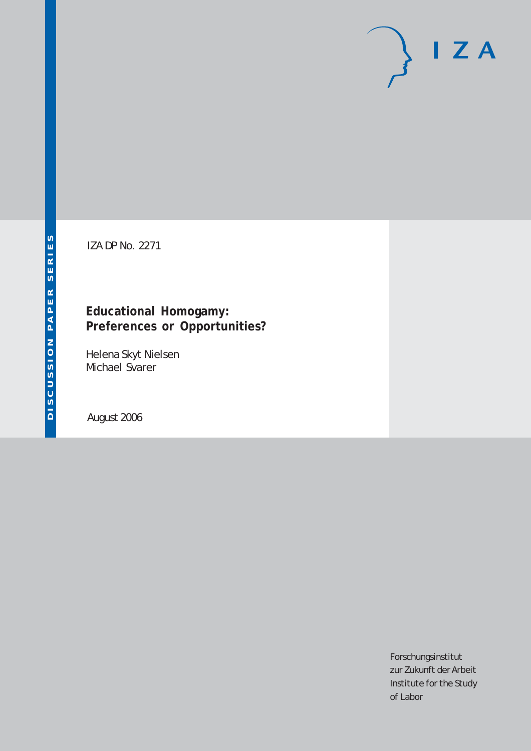# $I Z A$

IZA DP No. 2271

#### **Educational Homogamy: Preferences or Opportunities?**

Helena Skyt Nielsen Michael Svarer

August 2006

Forschungsinstitut zur Zukunft der Arbeit Institute for the Study of Labor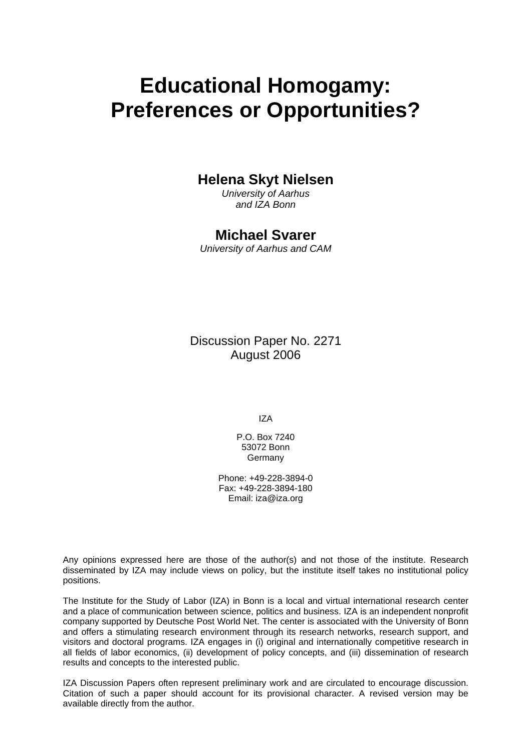## **Educational Homogamy: Preferences or Opportunities?**

#### **Helena Skyt Nielsen**

*University of Aarhus and IZA Bonn* 

#### **Michael Svarer**

*University of Aarhus and CAM* 

Discussion Paper No. 2271 August 2006

IZA

P.O. Box 7240 53072 Bonn Germany

Phone: +49-228-3894-0 Fax: +49-228-3894-180 Email: [iza@iza.org](mailto:iza@iza.org)

Any opinions expressed here are those of the author(s) and not those of the institute. Research disseminated by IZA may include views on policy, but the institute itself takes no institutional policy positions.

The Institute for the Study of Labor (IZA) in Bonn is a local and virtual international research center and a place of communication between science, politics and business. IZA is an independent nonprofit company supported by Deutsche Post World Net. The center is associated with the University of Bonn and offers a stimulating research environment through its research networks, research support, and visitors and doctoral programs. IZA engages in (i) original and internationally competitive research in all fields of labor economics, (ii) development of policy concepts, and (iii) dissemination of research results and concepts to the interested public.

IZA Discussion Papers often represent preliminary work and are circulated to encourage discussion. Citation of such a paper should account for its provisional character. A revised version may be available directly from the author.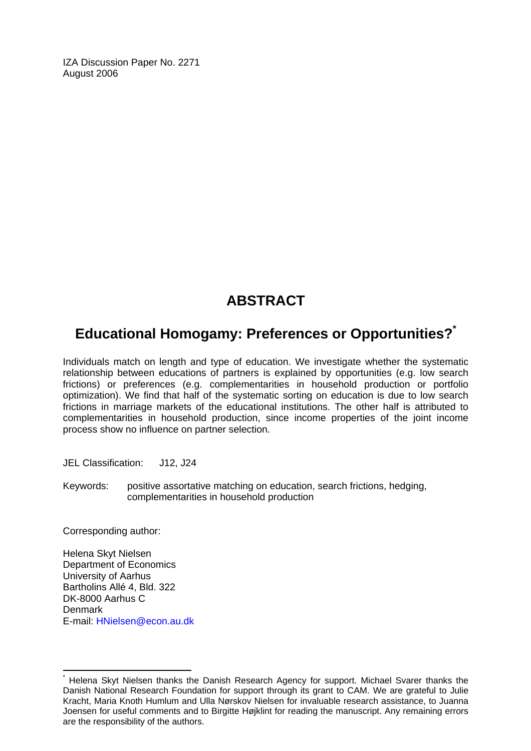IZA Discussion Paper No. 2271 August 2006

## **ABSTRACT**

## **Educational Homogamy: Preferences or Opportunities?[\\*](#page-2-0)**

Individuals match on length and type of education. We investigate whether the systematic relationship between educations of partners is explained by opportunities (e.g. low search frictions) or preferences (e.g. complementarities in household production or portfolio optimization). We find that half of the systematic sorting on education is due to low search frictions in marriage markets of the educational institutions. The other half is attributed to complementarities in household production, since income properties of the joint income process show no influence on partner selection.

JEL Classification: J12, J24

Keywords: positive assortative matching on education, search frictions, hedging, complementarities in household production

Corresponding author:

 $\overline{a}$ 

Helena Skyt Nielsen Department of Economics University of Aarhus Bartholins Allé 4, Bld. 322 DK-8000 Aarhus C Denmark E-mail: [HNielsen@econ.au.dk](mailto:HNielsen@econ.au.dk)

<span id="page-2-0"></span><sup>\*</sup> Helena Skyt Nielsen thanks the Danish Research Agency for support. Michael Svarer thanks the Danish National Research Foundation for support through its grant to CAM. We are grateful to Julie Kracht, Maria Knoth Humlum and Ulla Nørskov Nielsen for invaluable research assistance, to Juanna Joensen for useful comments and to Birgitte Højklint for reading the manuscript. Any remaining errors are the responsibility of the authors.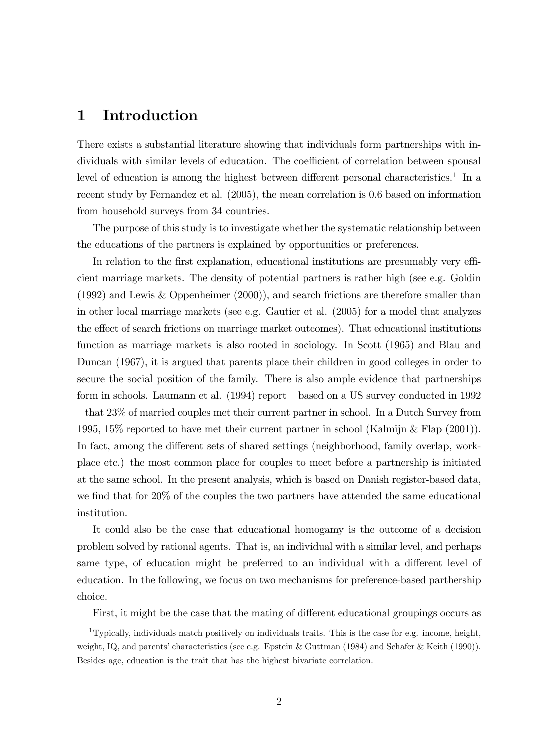### 1 Introduction

There exists a substantial literature showing that individuals form partnerships with individuals with similar levels of education. The coefficient of correlation between spousal level of education is among the highest between different personal characteristics.<sup>1</sup> In a recent study by Fernandez et al. (2005), the mean correlation is 0.6 based on information from household surveys from 34 countries.

The purpose of this study is to investigate whether the systematic relationship between the educations of the partners is explained by opportunities or preferences.

In relation to the first explanation, educational institutions are presumably very efficient marriage markets. The density of potential partners is rather high (see e.g. Goldin (1992) and Lewis & Oppenheimer (2000)), and search frictions are therefore smaller than in other local marriage markets (see e.g. Gautier et al. (2005) for a model that analyzes the effect of search frictions on marriage market outcomes). That educational institutions function as marriage markets is also rooted in sociology. In Scott (1965) and Blau and Duncan (1967), it is argued that parents place their children in good colleges in order to secure the social position of the family. There is also ample evidence that partnerships form in schools. Laumann et al.  $(1994)$  report – based on a US survey conducted in 1992  $-$  that 23% of married couples met their current partner in school. In a Dutch Survey from 1995, 15% reported to have met their current partner in school (Kalmijn & Flap (2001)). In fact, among the different sets of shared settings (neighborhood, family overlap, workplace etc.) the most common place for couples to meet before a partnership is initiated at the same school. In the present analysis, which is based on Danish register-based data, we find that for  $20\%$  of the couples the two partners have attended the same educational institution.

It could also be the case that educational homogamy is the outcome of a decision problem solved by rational agents. That is, an individual with a similar level, and perhaps same type, of education might be preferred to an individual with a different level of education. In the following, we focus on two mechanisms for preference-based parthership choice.

First, it might be the case that the mating of different educational groupings occurs as

<sup>&</sup>lt;sup>1</sup>Typically, individuals match positively on individuals traits. This is the case for e.g. income, height, weight, IQ, and parents' characteristics (see e.g. Epstein & Guttman (1984) and Schafer & Keith (1990)). Besides age, education is the trait that has the highest bivariate correlation.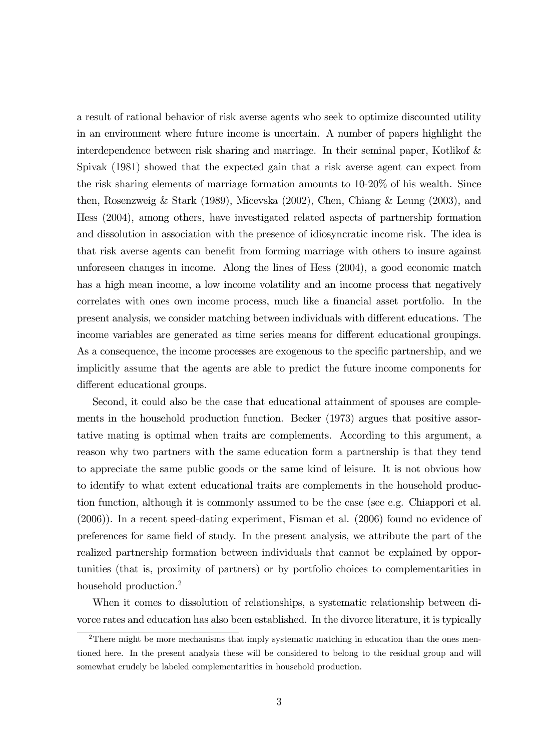a result of rational behavior of risk averse agents who seek to optimize discounted utility in an environment where future income is uncertain. A number of papers highlight the interdependence between risk sharing and marriage. In their seminal paper, Kotlikof & Spivak (1981) showed that the expected gain that a risk averse agent can expect from the risk sharing elements of marriage formation amounts to 10-20% of his wealth. Since then, Rosenzweig & Stark (1989), Micevska (2002), Chen, Chiang & Leung (2003), and Hess (2004), among others, have investigated related aspects of partnership formation and dissolution in association with the presence of idiosyncratic income risk. The idea is that risk averse agents can benefit from forming marriage with others to insure against unforeseen changes in income. Along the lines of Hess (2004), a good economic match has a high mean income, a low income volatility and an income process that negatively correlates with ones own income process, much like a financial asset portfolio. In the present analysis, we consider matching between individuals with different educations. The income variables are generated as time series means for different educational groupings. As a consequence, the income processes are exogenous to the specific partnership, and we implicitly assume that the agents are able to predict the future income components for different educational groups.

Second, it could also be the case that educational attainment of spouses are complements in the household production function. Becker (1973) argues that positive assortative mating is optimal when traits are complements. According to this argument, a reason why two partners with the same education form a partnership is that they tend to appreciate the same public goods or the same kind of leisure. It is not obvious how to identify to what extent educational traits are complements in the household production function, although it is commonly assumed to be the case (see e.g. Chiappori et al. (2006)). In a recent speed-dating experiment, Fisman et al. (2006) found no evidence of preferences for same Öeld of study. In the present analysis, we attribute the part of the realized partnership formation between individuals that cannot be explained by opportunities (that is, proximity of partners) or by portfolio choices to complementarities in household production.<sup>2</sup>

When it comes to dissolution of relationships, a systematic relationship between divorce rates and education has also been established. In the divorce literature, it is typically

<sup>&</sup>lt;sup>2</sup>There might be more mechanisms that imply systematic matching in education than the ones mentioned here. In the present analysis these will be considered to belong to the residual group and will somewhat crudely be labeled complementarities in household production.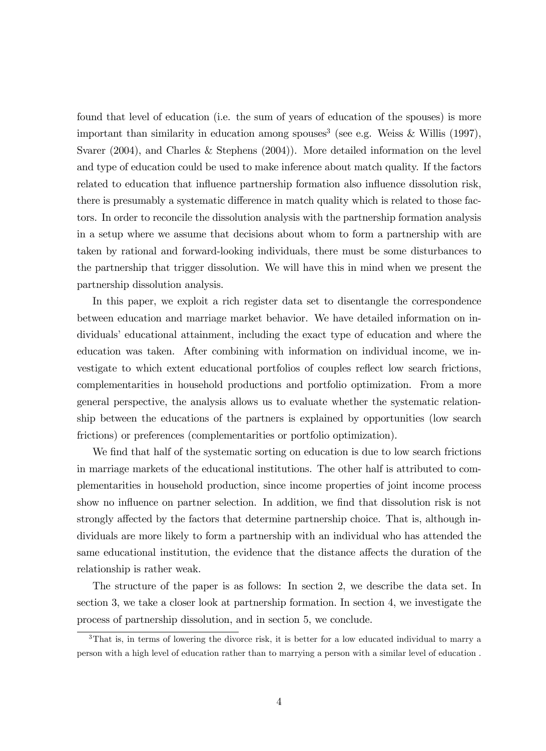found that level of education (i.e. the sum of years of education of the spouses) is more important than similarity in education among spouses<sup>3</sup> (see e.g. Weiss & Willis (1997), Svarer (2004), and Charles & Stephens (2004)). More detailed information on the level and type of education could be used to make inference about match quality. If the factors related to education that influence partnership formation also influence dissolution risk, there is presumably a systematic difference in match quality which is related to those factors. In order to reconcile the dissolution analysis with the partnership formation analysis in a setup where we assume that decisions about whom to form a partnership with are taken by rational and forward-looking individuals, there must be some disturbances to the partnership that trigger dissolution. We will have this in mind when we present the partnership dissolution analysis.

In this paper, we exploit a rich register data set to disentangle the correspondence between education and marriage market behavior. We have detailed information on individuals' educational attainment, including the exact type of education and where the education was taken. After combining with information on individual income, we investigate to which extent educational portfolios of couples reflect low search frictions, complementarities in household productions and portfolio optimization. From a more general perspective, the analysis allows us to evaluate whether the systematic relationship between the educations of the partners is explained by opportunities (low search frictions) or preferences (complementarities or portfolio optimization).

We find that half of the systematic sorting on education is due to low search frictions in marriage markets of the educational institutions. The other half is attributed to complementarities in household production, since income properties of joint income process show no influence on partner selection. In addition, we find that dissolution risk is not strongly affected by the factors that determine partnership choice. That is, although individuals are more likely to form a partnership with an individual who has attended the same educational institution, the evidence that the distance affects the duration of the relationship is rather weak.

The structure of the paper is as follows: In section 2, we describe the data set. In section 3, we take a closer look at partnership formation. In section 4, we investigate the process of partnership dissolution, and in section 5, we conclude.

<sup>&</sup>lt;sup>3</sup>That is, in terms of lowering the divorce risk, it is better for a low educated individual to marry a person with a high level of education rather than to marrying a person with a similar level of education .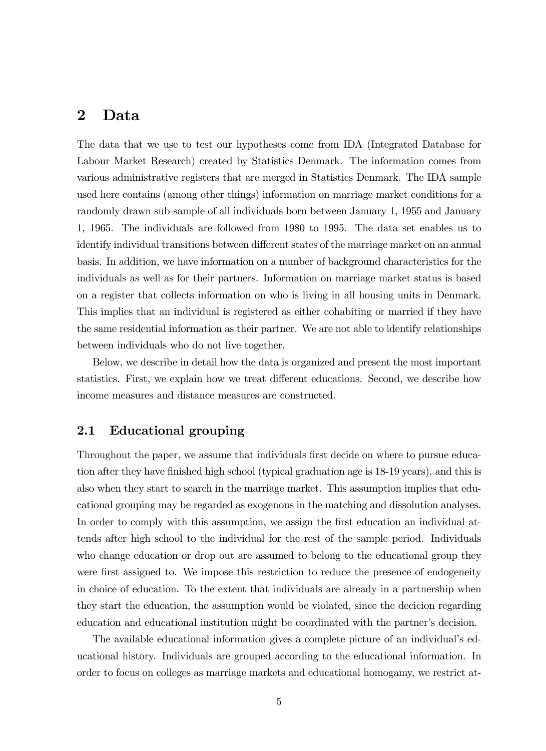## 2 Data

The data that we use to test our hypotheses come from IDA (Integrated Database for Labour Market Research) created by Statistics Denmark. The information comes from various administrative registers that are merged in Statistics Denmark. The IDA sample used here contains (among other things) information on marriage market conditions for a randomly drawn sub-sample of all individuals born between January 1, 1955 and January 1, 1965. The individuals are followed from 1980 to 1995. The data set enables us to identify individual transitions between different states of the marriage market on an annual basis. In addition, we have information on a number of background characteristics for the individuals as well as for their partners. Information on marriage market status is based on a register that collects information on who is living in all housing units in Denmark. This implies that an individual is registered as either cohabiting or married if they have the same residential information as their partner. We are not able to identify relationships between individuals who do not live together.

Below, we describe in detail how the data is organized and present the most important statistics. First, we explain how we treat different educations. Second, we describe how income measures and distance measures are constructed.

#### 2.1 Educational grouping

Throughout the paper, we assume that individuals first decide on where to pursue education after they have finished high school (typical graduation age is 18-19 years), and this is also when they start to search in the marriage market. This assumption implies that educational grouping may be regarded as exogenous in the matching and dissolution analyses. In order to comply with this assumption, we assign the first education an individual attends after high school to the individual for the rest of the sample period. Individuals who change education or drop out are assumed to belong to the educational group they were first assigned to. We impose this restriction to reduce the presence of endogeneity in choice of education. To the extent that individuals are already in a partnership when they start the education, the assumption would be violated, since the decicion regarding education and educational institution might be coordinated with the partner's decision.

The available educational information gives a complete picture of an individual's educational history. Individuals are grouped according to the educational information. In order to focus on colleges as marriage markets and educational homogamy, we restrict at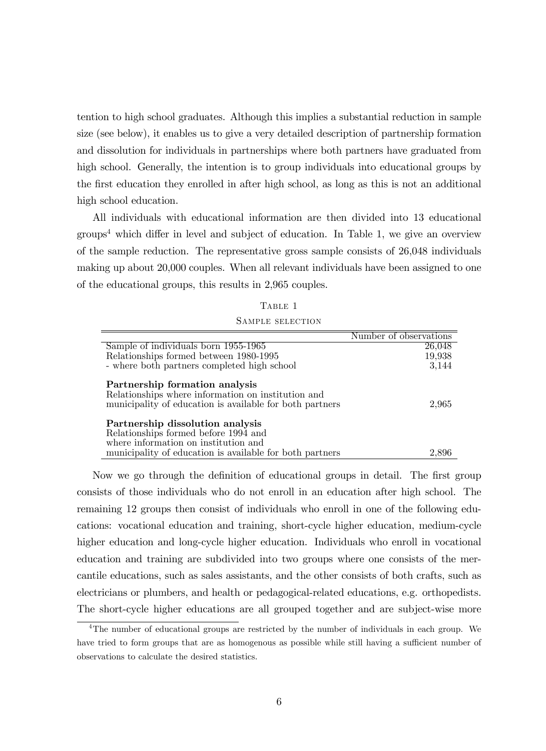tention to high school graduates. Although this implies a substantial reduction in sample size (see below), it enables us to give a very detailed description of partnership formation and dissolution for individuals in partnerships where both partners have graduated from high school. Generally, the intention is to group individuals into educational groups by the Örst education they enrolled in after high school, as long as this is not an additional high school education.

All individuals with educational information are then divided into 13 educational groups<sup>4</sup> which differ in level and subject of education. In Table 1, we give an overview of the sample reduction. The representative gross sample consists of 26,048 individuals making up about 20,000 couples. When all relevant individuals have been assigned to one of the educational groups, this results in 2,965 couples.

| вτ |  |
|----|--|
|    |  |

|                                                                                                                                                  | Number of observations |
|--------------------------------------------------------------------------------------------------------------------------------------------------|------------------------|
| Sample of individuals born 1955-1965                                                                                                             | 26,048                 |
| Relationships formed between 1980-1995                                                                                                           | 19,938                 |
| - where both partners completed high school                                                                                                      | 3,144                  |
| Partnership formation analysis<br>Relationships where information on institution and<br>municipality of education is available for both partners | 2,965                  |
| Partnership dissolution analysis                                                                                                                 |                        |
| Relationships formed before 1994 and                                                                                                             |                        |
| where information on institution and                                                                                                             |                        |
| municipality of education is available for both partners                                                                                         |                        |

Now we go through the definition of educational groups in detail. The first group consists of those individuals who do not enroll in an education after high school. The remaining 12 groups then consist of individuals who enroll in one of the following educations: vocational education and training, short-cycle higher education, medium-cycle higher education and long-cycle higher education. Individuals who enroll in vocational education and training are subdivided into two groups where one consists of the mercantile educations, such as sales assistants, and the other consists of both crafts, such as electricians or plumbers, and health or pedagogical-related educations, e.g. orthopedists. The short-cycle higher educations are all grouped together and are subject-wise more

<sup>&</sup>lt;sup>4</sup>The number of educational groups are restricted by the number of individuals in each group. We have tried to form groups that are as homogenous as possible while still having a sufficient number of observations to calculate the desired statistics.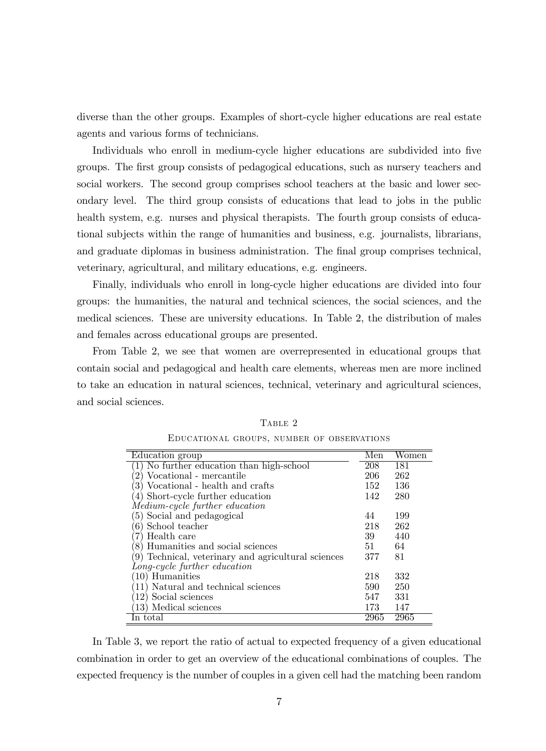diverse than the other groups. Examples of short-cycle higher educations are real estate agents and various forms of technicians.

Individuals who enroll in medium-cycle higher educations are subdivided into five groups. The Örst group consists of pedagogical educations, such as nursery teachers and social workers. The second group comprises school teachers at the basic and lower secondary level. The third group consists of educations that lead to jobs in the public health system, e.g. nurses and physical therapists. The fourth group consists of educational subjects within the range of humanities and business, e.g. journalists, librarians, and graduate diplomas in business administration. The final group comprises technical, veterinary, agricultural, and military educations, e.g. engineers.

Finally, individuals who enroll in long-cycle higher educations are divided into four groups: the humanities, the natural and technical sciences, the social sciences, and the medical sciences. These are university educations. In Table 2, the distribution of males and females across educational groups are presented.

From Table 2, we see that women are overrepresented in educational groups that contain social and pedagogical and health care elements, whereas men are more inclined to take an education in natural sciences, technical, veterinary and agricultural sciences, and social sciences.

| Education group                                    | Men  | $\operatorname{Women}$ |
|----------------------------------------------------|------|------------------------|
| 1) No further education than high-school           | 208  | 181                    |
| Vocational - mercantile<br>$2^{\circ}$             | 206  | 262                    |
| Vocational - health and crafts<br>3)               | 152  | 136                    |
| 4) Short-cycle further education                   | 142  | 280                    |
| Medium-cycle further education                     |      |                        |
| (5) Social and pedagogical                         | 44   | 199                    |
| School teacher<br>6)                               | 218  | 262                    |
| Health care                                        | 39   | 440                    |
| 8) Humanities and social sciences                  | 51   | 64                     |
| 9) Technical, veterinary and agricultural sciences | 377  | 81                     |
| Long-cycle further education                       |      |                        |
| $(10)$ Humanities                                  | 218  | 332                    |
| ) Natural and technical sciences<br>11)            | 590  | 250                    |
| 12) Social sciences                                | 547  | 331                    |
| Medical sciences<br>13)                            | 173  | 147                    |
| total<br>In.                                       | 2965 | 2965                   |

TABLE 2 Educational groups, number of observations

In Table 3, we report the ratio of actual to expected frequency of a given educational combination in order to get an overview of the educational combinations of couples. The expected frequency is the number of couples in a given cell had the matching been random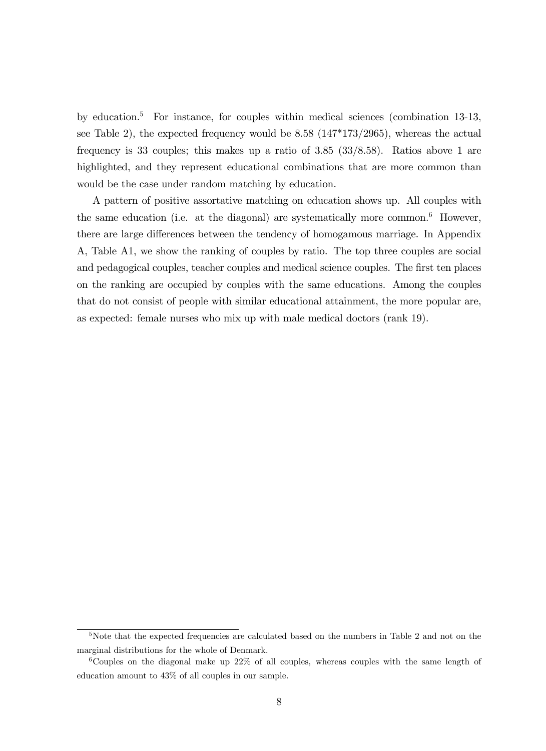by education.<sup>5</sup> For instance, for couples within medical sciences (combination 13-13, see Table 2), the expected frequency would be 8.58 (147\*173/2965), whereas the actual frequency is 33 couples; this makes up a ratio of 3.85 (33/8.58). Ratios above 1 are highlighted, and they represent educational combinations that are more common than would be the case under random matching by education.

A pattern of positive assortative matching on education shows up. All couples with the same education (i.e. at the diagonal) are systematically more common.<sup>6</sup> However, there are large differences between the tendency of homogamous marriage. In Appendix A, Table A1, we show the ranking of couples by ratio. The top three couples are social and pedagogical couples, teacher couples and medical science couples. The first ten places on the ranking are occupied by couples with the same educations. Among the couples that do not consist of people with similar educational attainment, the more popular are, as expected: female nurses who mix up with male medical doctors (rank 19).

 $5$ Note that the expected frequencies are calculated based on the numbers in Table 2 and not on the marginal distributions for the whole of Denmark.

 $6$ Couples on the diagonal make up  $22\%$  of all couples, whereas couples with the same length of education amount to 43% of all couples in our sample.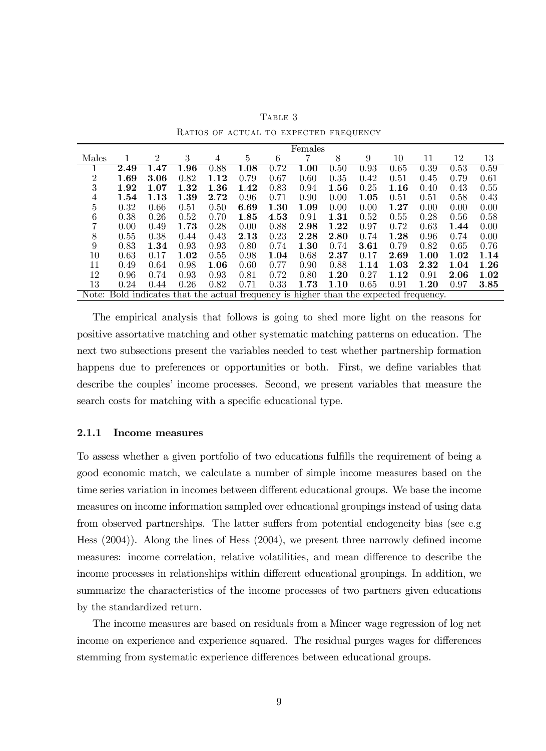|                                                                                       |      |      |      |                |      |      | Females |      |      |      |      |      |      |
|---------------------------------------------------------------------------------------|------|------|------|----------------|------|------|---------|------|------|------|------|------|------|
| Males                                                                                 |      | 2    | 3    | $\overline{4}$ | 5    | 6    |         | 8    | 9    | 10   | 11   | 12   | 13   |
|                                                                                       | 2.49 | 1.47 | 1.96 | 0.88           | 1.08 | 0.72 | 1.00    | 0.50 | 0.93 | 0.65 | 0.39 | 0.53 | 0.59 |
| 2                                                                                     | 1.69 | 3.06 | 0.82 | 1.12           | 0.79 | 0.67 | 0.60    | 0.35 | 0.42 | 0.51 | 0.45 | 0.79 | 0.61 |
| 3                                                                                     | 1.92 | 1.07 | 1.32 | 1.36           | 1.42 | 0.83 | 0.94    | 1.56 | 0.25 | 1.16 | 0.40 | 0.43 | 0.55 |
| 4                                                                                     | 1.54 | 1.13 | 1.39 | 2.72           | 0.96 | 0.71 | 0.90    | 0.00 | 1.05 | 0.51 | 0.51 | 0.58 | 0.43 |
| 5                                                                                     | 0.32 | 0.66 | 0.51 | 0.50           | 6.69 | 1.30 | 1.09    | 0.00 | 0.00 | 1.27 | 0.00 | 0.00 | 0.00 |
| 6                                                                                     | 0.38 | 0.26 | 0.52 | 0.70           | 1.85 | 4.53 | 0.91    | 1.31 | 0.52 | 0.55 | 0.28 | 0.56 | 0.58 |
|                                                                                       | 0.00 | 0.49 | 1.73 | 0.28           | 0.00 | 0.88 | 2.98    | 1.22 | 0.97 | 0.72 | 0.63 | 1.44 | 0.00 |
| 8                                                                                     | 0.55 | 0.38 | 0.44 | 0.43           | 2.13 | 0.23 | 2.28    | 2.80 | 0.74 | 1.28 | 0.96 | 0.74 | 0.00 |
| 9                                                                                     | 0.83 | 1.34 | 0.93 | 0.93           | 0.80 | 0.74 | 1.30    | 0.74 | 3.61 | 0.79 | 0.82 | 0.65 | 0.76 |
| 10                                                                                    | 0.63 | 0.17 | 1.02 | 0.55           | 0.98 | 1.04 | 0.68    | 2.37 | 0.17 | 2.69 | 1.00 | 1.02 | 1.14 |
| 11                                                                                    | 0.49 | 0.64 | 0.98 | 1.06           | 0.60 | 0.77 | 0.90    | 0.88 | 1.14 | 1.03 | 2.32 | 1.04 | 1.26 |
| 12                                                                                    | 0.96 | 0.74 | 0.93 | 0.93           | 0.81 | 0.72 | 0.80    | 1.20 | 0.27 | 1.12 | 0.91 | 2.06 | 1.02 |
| 13                                                                                    | 0.24 | 0.44 | 0.26 | 0.82           | 0.71 | 0.33 | 1.73    | 1.10 | 0.65 | 0.91 | 1.20 | 0.97 | 3.85 |
| Note: Bold indicates that the actual frequency is higher than the expected frequency. |      |      |      |                |      |      |         |      |      |      |      |      |      |

TABLE 3 Ratios of actual to expected frequency

The empirical analysis that follows is going to shed more light on the reasons for positive assortative matching and other systematic matching patterns on education. The next two subsections present the variables needed to test whether partnership formation happens due to preferences or opportunities or both. First, we define variables that describe the couples' income processes. Second, we present variables that measure the search costs for matching with a specific educational type.

#### 2.1.1 Income measures

To assess whether a given portfolio of two educations fulfills the requirement of being a good economic match, we calculate a number of simple income measures based on the time series variation in incomes between different educational groups. We base the income measures on income information sampled over educational groupings instead of using data from observed partnerships. The latter suffers from potential endogeneity bias (see e.g. Hess  $(2004)$ . Along the lines of Hess  $(2004)$ , we present three narrowly defined income measures: income correlation, relative volatilities, and mean difference to describe the income processes in relationships within different educational groupings. In addition, we summarize the characteristics of the income processes of two partners given educations by the standardized return.

The income measures are based on residuals from a Mincer wage regression of log net income on experience and experience squared. The residual purges wages for differences stemming from systematic experience differences between educational groups.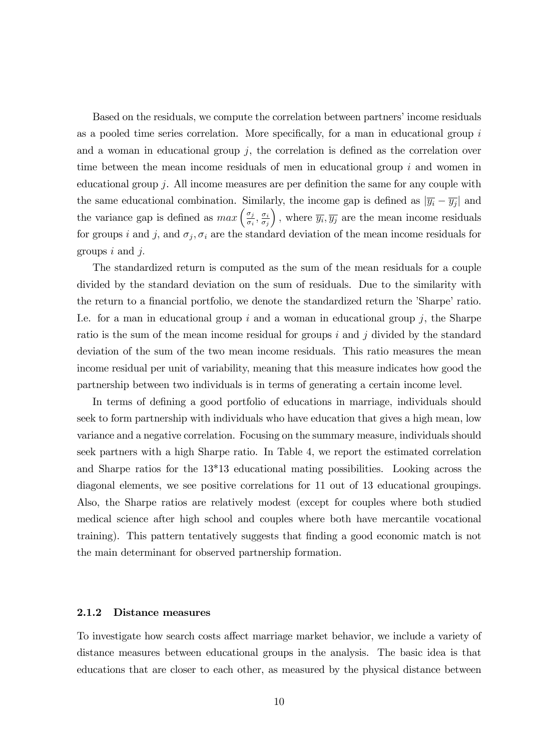Based on the residuals, we compute the correlation between partners' income residuals as a pooled time series correlation. More specifically, for a man in educational group  $i$ and a woman in educational group  $j$ , the correlation is defined as the correlation over time between the mean income residuals of men in educational group  $i$  and women in educational group  $i$ . All income measures are per definition the same for any couple with the same educational combination. Similarly, the income gap is defined as  $|\overline{y_i} - \overline{y_j}|$  and the variance gap is defined as  $max\left(\frac{\sigma_j}{\sigma_j}\right)$  $\frac{\sigma_j}{\sigma_i}, \frac{\sigma_i}{\sigma_j}$  $\sigma_j$ ), where  $\overline{y_i}, \overline{y_j}$  are the mean income residuals for groups i and j, and  $\sigma_j$ ,  $\sigma_i$  are the standard deviation of the mean income residuals for groups  $i$  and  $j$ .

The standardized return is computed as the sum of the mean residuals for a couple divided by the standard deviation on the sum of residuals. Due to the similarity with the return to a financial portfolio, we denote the standardized return the 'Sharpe' ratio. I.e. for a man in educational group  $i$  and a woman in educational group  $j$ , the Sharpe ratio is the sum of the mean income residual for groups  $i$  and  $j$  divided by the standard deviation of the sum of the two mean income residuals. This ratio measures the mean income residual per unit of variability, meaning that this measure indicates how good the partnership between two individuals is in terms of generating a certain income level.

In terms of defining a good portfolio of educations in marriage, individuals should seek to form partnership with individuals who have education that gives a high mean, low variance and a negative correlation. Focusing on the summary measure, individuals should seek partners with a high Sharpe ratio. In Table 4, we report the estimated correlation and Sharpe ratios for the 13\*13 educational mating possibilities. Looking across the diagonal elements, we see positive correlations for 11 out of 13 educational groupings. Also, the Sharpe ratios are relatively modest (except for couples where both studied medical science after high school and couples where both have mercantile vocational training). This pattern tentatively suggests that Önding a good economic match is not the main determinant for observed partnership formation.

#### 2.1.2 Distance measures

To investigate how search costs affect marriage market behavior, we include a variety of distance measures between educational groups in the analysis. The basic idea is that educations that are closer to each other, as measured by the physical distance between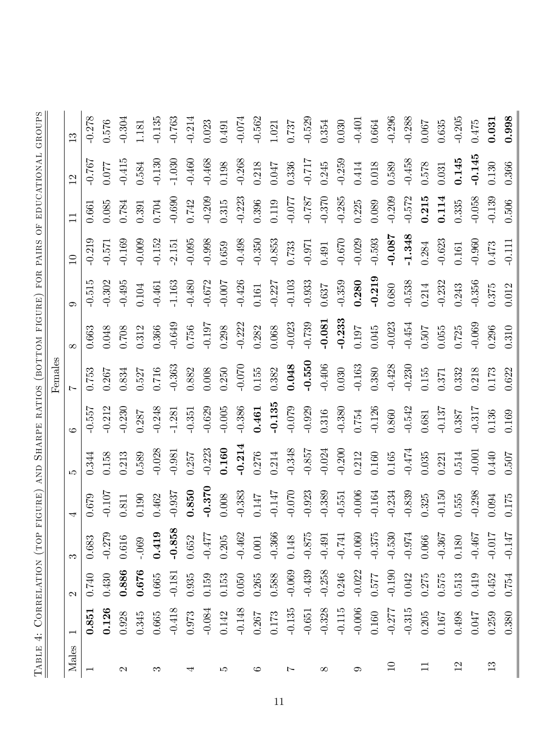|                |           |                   |           |                           |           |          | $\rm{Fends}$   |           |           |          |          |                |          |
|----------------|-----------|-------------------|-----------|---------------------------|-----------|----------|----------------|-----------|-----------|----------|----------|----------------|----------|
| Males          |           | $\mathbf{\Omega}$ | က         | 4                         |           | ం        | $\overline{ }$ |           |           | $\Xi$    |          | $\overline{2}$ |          |
|                | 0.851     | 0.740             | 0.683     | 0.679                     | 1.344     | 0.557    |                | .663      | $-0.515$  | $-0.219$ | 1.661    | $-0.767$       | 0.278    |
|                | 0.126     | 0.430             | $-0.279$  | $-107$<br>$\bigcap$       | 0.158     | $-0.212$ | 0.267          | 0.048     | $-0.302$  | $-0.571$ | 0.085    | 170.077        | 1.576    |
| $\mathcal{C}$  | $0.928\,$ | 0.886             | 0.616     | 0.811                     | 0.213     | $-0.230$ | 0.834          | 0.708     | $-0.495$  | $-0.169$ | 0.784    | $-0.415$       | $-0.304$ |
|                | 0.345     | 0.676             | $-.069$   | $0.190\,$                 | 0.589     | 0.287    | 0.527          | 1.312     | 0.104     | $-0.009$ | 1.391    | 0.584          | 181      |
| ಣ              | $0.665\,$ | 0.665             | 0.419     | 0.462                     | $-0.028$  | $-0.248$ | 0.716          | 0.366     | $-0.461$  | $-0.152$ | 0.704    | $-0.130$       | $-0.135$ |
|                | $-0.418$  | $-0.181$          | $-0.858$  | .937<br>$\bigcap$         | $-0.981$  | $-1.281$ | $-0.363$       | $-0.649$  | $-1.163$  | $-2.151$ | $-0.690$ | $-1.030$       | $-0.763$ |
|                | 0.973     | 0.935             | 0.652     | 0.850                     | 0.257     | $-0.351$ | 0.882          | 0.756     | $-0.480$  | $-0.095$ | 0.742    | $-0.460$       | $-0.214$ |
|                | $-0.084$  | 0.159             | $-0.477$  | .370<br>ု                 | $-0.223$  | $-0.629$ | $0.008$        | $-0.197$  | $-0.672$  | $-0.998$ | $-0.209$ | $-0.468$       | 0.023    |
| దా             | 0.142     | 0.153             | $0.205\,$ | 0.008                     | 0.160     | $-0.005$ | 0.250          | 0.298     | -0.007    | 0.659    | 0.315    | 0.198          | 0.491    |
|                | $-0.148$  | $0.050\,$         | $-0.462$  | .383<br>$\overline{Q}$    | $-0.214$  | $-0.386$ | $-0.070$       | $-0.222$  | $-0.426$  | $-0.498$ | $-0.223$ | $-0.268$       | $-0.074$ |
| ు              | $0.267\,$ | 0.265             | $0.001\,$ | $0.147\,$                 | 0.276     | 0.461    | $0.155\,$      | 0.282     | 0.161     | $-0.350$ | 0.396    | 0.218          | $-0.562$ |
|                | $0.173\,$ | 0.588             | $-0.366$  | .147<br>$\bigcap$         | 0.214     | $-0.135$ | 0.382          | $0.068\,$ | $-0.227$  | $-0.853$ | 0.119    | 0.047          | 1.021    |
| Ņ              | $-0.135$  | $-0.069$          | 0.148     | 070.<br>$\overline{Q}$    | $-0.348$  | $-0.079$ | 0.048          | $-0.023$  | $-0.103$  | 0.733    | $-0.077$ | 0.336          | 0.737    |
|                | $-0.651$  | $-0.439$          | $-0.875$  | .923<br>$\bigcap$         | $-0.857$  | $-0.929$ | $-0.550$       | $-0.739$  | $-0.933$  | $-0.971$ | $-0.787$ | $-0.717$       | $-0.529$ |
| $\infty$       | $-0.328$  | $-0.258$          | $-0.491$  | .389<br>$\bigcap$         | $-0.024$  | 0.316    | $-0.406$       | $-0.081$  | 0.637     | 0.491    | $-0.370$ | 0.245          | 0.354    |
|                | $-0.115$  | $0.246\,$         | $-0.741$  | 551<br>$\dot{\mathsf{q}}$ | $-0.200$  | $-0.380$ | 0.030          | $-0.233$  | $-0.359$  | $-0.670$ | $-0.285$ | $-0.259$       | 0.030    |
| ⊝              | $-0.006$  | $-0.022$          | $-0.060$  | .006<br>$\bigcirc$        | 0.212     | 0.754    | $-0.163$       | $0.197\,$ | 0.280     | $-0.029$ | 0.225    | 0.414          | $-0.401$ |
|                | 0.160     | 0.577             | $-0.375$  | <b>164</b><br>$\bigcap$   | 0.160     | $-0.126$ | 0.380          | 0.045     | $-0.219$  | $-0.593$ | 0.089    | 0.018          | 0.664    |
|                | $-0.277$  | $-0.190$          | $-0.530$  | $-0.234$                  | $0.165\,$ | 0.860    | $-0.428$       | $-0.023$  | $0.680\,$ | $-0.087$ | $-0.209$ | 0.589          | $-0.296$ |
|                | $-0.315$  | 0.042             | $-0.974$  | .839<br>$\overline{P}$    | $-0.474$  | $-0.542$ | $-0.230$       | $-0.454$  | $-0.538$  | $-1.348$ | $-0.572$ | $-0.458$       | $-0.288$ |
|                | 0.205     | $0.275\,$         | 0.066     | 0.325                     | 0.035     | 0.681    | 0.155          | 0.507     | 0.214     | 0.284    | 0.215    | 0.578          | 0.007    |
|                | 0.167     | 0.575             | $-0.367$  | $-0.150$                  | 0.221     | $-0.137$ | 0.371          | 0.055     | $-0.232$  | $-0.623$ | 0.114    | 0.031          | 0.635    |
| $\overline{2}$ | 0.498     | $\!0.513$         | $0.180\,$ | $0.555\,$                 | 0.514     | 0.387    | 0.332          | 0.725     | 0.243     | 0.161    | 0.335    | 0.145          | $-0.205$ |
|                | 0.047     | 0.419             | $-0.467$  | $-0.298$                  | $-0.001$  | $-0.317$ | 0.218          | $-0.069$  | $-0.356$  | $-0.960$ | $-0.058$ | $-0.145$       | 0.475    |
|                | 0.259     | 0.452             | $-0.017$  | 0.094                     | 0.440     | 0.136    | 0.173          | 0.296     | 0.375     | 0.473    | $-0.139$ | 0.130          | 0.031    |
|                | 0.380     | 0.754             | $-0.147$  | $0.175\,$                 | $0.507$   | 0.169    | 0.622          | 0.310     | 0.012     | $-0.111$ | 0.506    | 0.366          | 0.998    |

TABLE 4: CORRELATION (TOP FIGURE) AND SHARPE RATIOS (BOTTOM FIGURE) FOR PAIRS OF EDUCATIONAL GROUPS Table 4: Correlation (top figure) and Sharpe ratios (bottom figure) for pairs of educational groups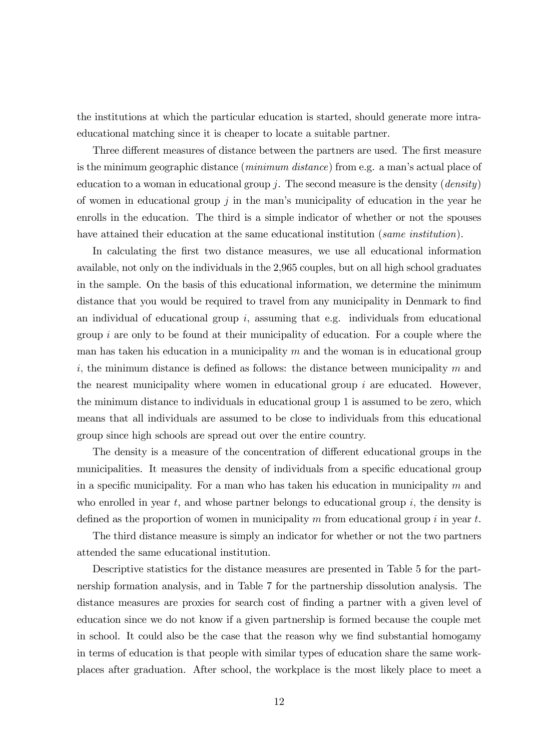the institutions at which the particular education is started, should generate more intraeducational matching since it is cheaper to locate a suitable partner.

Three different measures of distance between the partners are used. The first measure is the minimum geographic distance (*minimum distance*) from e.g. a man's actual place of education to a woman in educational group  $i$ . The second measure is the density (*density*) of women in educational group  $j$  in the man's municipality of education in the year he enrolls in the education. The third is a simple indicator of whether or not the spouses have attained their education at the same educational institution (*same institution*).

In calculating the Örst two distance measures, we use all educational information available, not only on the individuals in the 2,965 couples, but on all high school graduates in the sample. On the basis of this educational information, we determine the minimum distance that you would be required to travel from any municipality in Denmark to find an individual of educational group  $i$ , assuming that e.g. individuals from educational group  $i$  are only to be found at their municipality of education. For a couple where the man has taken his education in a municipality  $m$  and the woman is in educational group i, the minimum distance is defined as follows: the distance between municipality  $m$  and the nearest municipality where women in educational group  $i$  are educated. However, the minimum distance to individuals in educational group 1 is assumed to be zero, which means that all individuals are assumed to be close to individuals from this educational group since high schools are spread out over the entire country.

The density is a measure of the concentration of different educational groups in the municipalities. It measures the density of individuals from a specific educational group in a specific municipality. For a man who has taken his education in municipality  $m$  and who enrolled in year  $t$ , and whose partner belongs to educational group  $i$ , the density is defined as the proportion of women in municipality m from educational group i in year t.

The third distance measure is simply an indicator for whether or not the two partners attended the same educational institution.

Descriptive statistics for the distance measures are presented in Table 5 for the partnership formation analysis, and in Table 7 for the partnership dissolution analysis. The distance measures are proxies for search cost of finding a partner with a given level of education since we do not know if a given partnership is formed because the couple met in school. It could also be the case that the reason why we find substantial homogamy in terms of education is that people with similar types of education share the same workplaces after graduation. After school, the workplace is the most likely place to meet a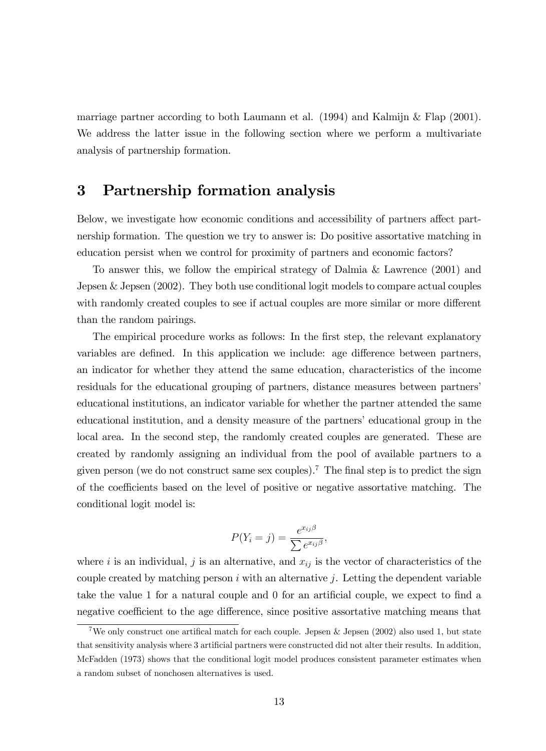marriage partner according to both Laumann et al. (1994) and Kalmijn & Flap (2001). We address the latter issue in the following section where we perform a multivariate analysis of partnership formation.

#### 3 Partnership formation analysis

Below, we investigate how economic conditions and accessibility of partners affect partnership formation. The question we try to answer is: Do positive assortative matching in education persist when we control for proximity of partners and economic factors?

To answer this, we follow the empirical strategy of Dalmia & Lawrence (2001) and Jepsen & Jepsen (2002). They both use conditional logit models to compare actual couples with randomly created couples to see if actual couples are more similar or more different than the random pairings.

The empirical procedure works as follows: In the first step, the relevant explanatory variables are defined. In this application we include: age difference between partners, an indicator for whether they attend the same education, characteristics of the income residuals for the educational grouping of partners, distance measures between partnersí educational institutions, an indicator variable for whether the partner attended the same educational institution, and a density measure of the partners' educational group in the local area. In the second step, the randomly created couples are generated. These are created by randomly assigning an individual from the pool of available partners to a given person (we do not construct same sex couples).<sup>7</sup> The final step is to predict the sign of the coefficients based on the level of positive or negative assortative matching. The conditional logit model is:

$$
P(Y_i = j) = \frac{e^{x_{ij}\beta}}{\sum e^{x_{ij}\beta}},
$$

where i is an individual, j is an alternative, and  $x_{ij}$  is the vector of characteristics of the couple created by matching person  $i$  with an alternative  $j$ . Letting the dependent variable take the value 1 for a natural couple and 0 for an artificial couple, we expect to find a negative coefficient to the age difference, since positive assortative matching means that

<sup>&</sup>lt;sup>7</sup>We only construct one artifical match for each couple. Jepsen & Jepsen (2002) also used 1, but state that sensitivity analysis where 3 artificial partners were constructed did not alter their results. In addition, McFadden (1973) shows that the conditional logit model produces consistent parameter estimates when a random subset of nonchosen alternatives is used.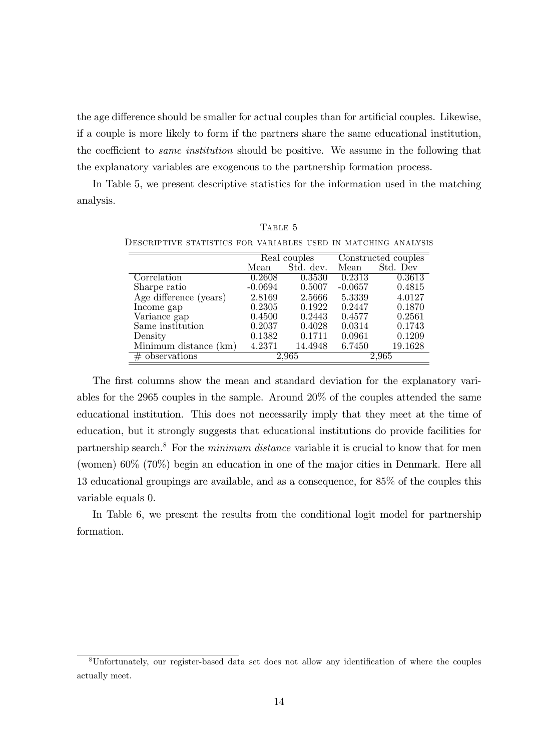the age difference should be smaller for actual couples than for artificial couples. Likewise, if a couple is more likely to form if the partners share the same educational institution, the coefficient to *same institution* should be positive. We assume in the following that the explanatory variables are exogenous to the partnership formation process.

In Table 5, we present descriptive statistics for the information used in the matching analysis.

|                        |           | Real couples |           | Constructed couples |
|------------------------|-----------|--------------|-----------|---------------------|
|                        | Mean      | Std. dev.    | Mean      | Std. Dev            |
| Correlation            | 0.2608    | 0.3530       | 0.2313    | 0.3613              |
| Sharpe ratio           | $-0.0694$ | 0.5007       | $-0.0657$ | 0.4815              |
| Age difference (years) | 2.8169    | 2.5666       | 5.3339    | 4.0127              |
| Income gap             | 0.2305    | 0.1922       | 0.2447    | 0.1870              |
| Variance gap           | 0.4500    | 0.2443       | 0.4577    | 0.2561              |
| Same institution       | 0.2037    | 0.4028       | 0.0314    | 0.1743              |
| Density                | 0.1382    | 0.1711       | 0.0961    | 0.1209              |
| Minimum distance (km)  | 4.2371    | 14.4948      | 6.7450    | 19.1628             |
| $#$ observations       |           | 2.965        |           | 2,965               |

TABLE 5 Descriptive statistics for variables used in matching analysis

The first columns show the mean and standard deviation for the explanatory variables for the 2965 couples in the sample. Around 20% of the couples attended the same educational institution. This does not necessarily imply that they meet at the time of education, but it strongly suggests that educational institutions do provide facilities for partnership search.<sup>8</sup> For the *minimum distance* variable it is crucial to know that for men (women) 60% (70%) begin an education in one of the major cities in Denmark. Here all 13 educational groupings are available, and as a consequence, for 85% of the couples this variable equals 0.

In Table 6, we present the results from the conditional logit model for partnership formation.

<sup>&</sup>lt;sup>8</sup>Unfortunately, our register-based data set does not allow any identification of where the couples actually meet.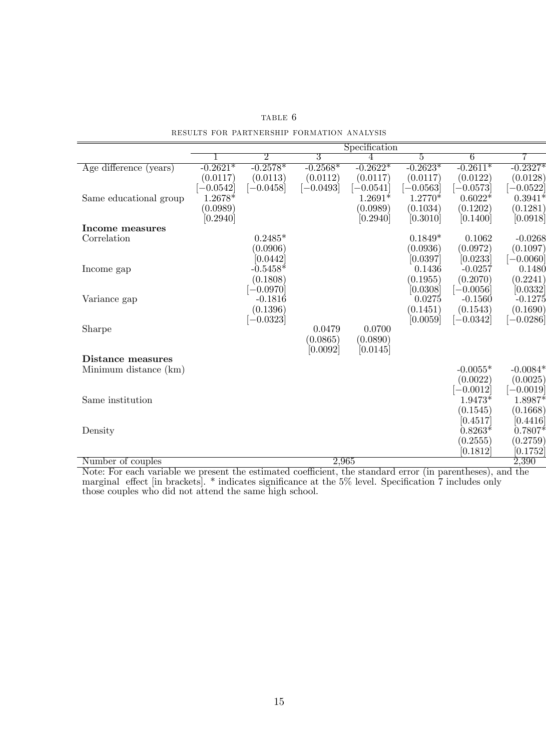|                        |             |             |             | Specification |             |             |             |
|------------------------|-------------|-------------|-------------|---------------|-------------|-------------|-------------|
|                        |             | 2           | 3           |               | 5           | 6           |             |
| Age difference (years) | $-0.2621*$  | $-0.2578*$  | $-0.2568*$  | $-0.2622*$    | $-0.2623*$  | $-0.2611*$  | $-0.2327*$  |
|                        | (0.0117)    | (0.0113)    | (0.0112)    | (0.0117)      | (0.0117)    | (0.0122)    | (0.0128)    |
|                        | $[-0.0542]$ | $[-0.0458]$ | $[-0.0493]$ | $[-0.0541]$   | $[-0.0563]$ | $[-0.0573]$ | $[-0.0522]$ |
| Same educational group | $1.2678*$   |             |             | $1.2691*$     | $1.2770*$   | $0.6022*$   | $0.3941*$   |
|                        | (0.0989)    |             |             | (0.0989)      | (0.1034)    | (0.1202)    | (0.1281)    |
|                        | [0.2940]    |             |             | [0.2940]      | [0.3010]    | [0.1400]    | [0.0918]    |
| Income measures        |             |             |             |               |             |             |             |
| Correlation            |             | $0.2485*$   |             |               | $0.1849*$   | 0.1062      | $-0.0268$   |
|                        |             | (0.0906)    |             |               | (0.0936)    | (0.0972)    | (0.1097)    |
|                        |             | [0.0442]    |             |               | [0.0397]    | [0.0233]    | $-0.0060]$  |
| Income gap             |             | $-0.5458*$  |             |               | 0.1436      | $-0.0257$   | 0.1480      |
|                        |             | (0.1808)    |             |               | (0.1955)    | (0.2070)    | (0.2241)    |
|                        |             | $[-0.0970]$ |             |               | [0.0308]    | $[-0.0056]$ | [0.0332]    |
| Variance gap           |             | $-0.1816$   |             |               | 0.0275      | $-0.1560$   | $-0.1275$   |
|                        |             | (0.1396)    |             |               | (0.1451)    | (0.1543)    | (0.1690)    |
|                        |             | $[-0.0323]$ |             |               | [0.0059]    | $[-0.0342]$ | $-0.0286$   |
| Sharpe                 |             |             | 0.0479      | 0.0700        |             |             |             |
|                        |             |             | (0.0865)    | (0.0890)      |             |             |             |
|                        |             |             | [0.0092]    | [0.0145]      |             |             |             |
| Distance measures      |             |             |             |               |             |             |             |
| Minimum distance (km)  |             |             |             |               |             | $-0.0055*$  | $-0.0084*$  |
|                        |             |             |             |               |             | (0.0022)    | (0.0025)    |
|                        |             |             |             |               |             | $[-0.0012]$ | $-0.0019$   |
| Same institution       |             |             |             |               |             | $1.9473*$   | 1.8987*     |
|                        |             |             |             |               |             | (0.1545)    | (0.1668)    |
|                        |             |             |             |               |             | [0.4517]    | [0.4416]    |
| Density                |             |             |             |               |             | $0.8263*$   | $0.7807*$   |
|                        |             |             |             |               |             | (0.2555)    | (0.2759)    |
|                        |             |             |             |               |             | [0.1812]    | [0.1752]    |
| Number of couples      |             |             | 2,965       |               |             |             | 2,390       |

|  | TABLE 6                                    |  |
|--|--------------------------------------------|--|
|  | RESULTS FOR PARTNERSHIP FORMATION ANALYSIS |  |

Note: For each variable we present the estimated coefficient, the standard error (in parentheses), and the marginal effect [in brackets]. \* indicates significance at the 5% level. Specification 7 includes only those couples who did not attend the same high school.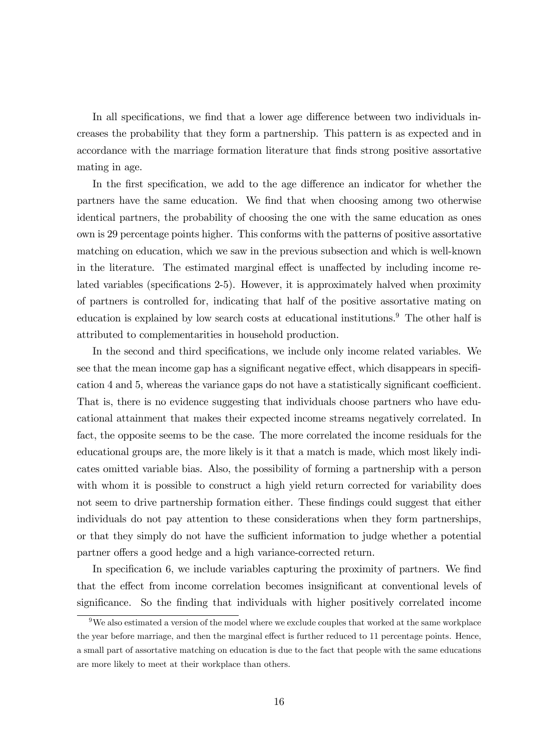In all specifications, we find that a lower age difference between two individuals increases the probability that they form a partnership. This pattern is as expected and in accordance with the marriage formation literature that Önds strong positive assortative mating in age.

In the first specification, we add to the age difference an indicator for whether the partners have the same education. We find that when choosing among two otherwise identical partners, the probability of choosing the one with the same education as ones own is 29 percentage points higher. This conforms with the patterns of positive assortative matching on education, which we saw in the previous subsection and which is well-known in the literature. The estimated marginal effect is unaffected by including income related variables (specifications 2-5). However, it is approximately halved when proximity of partners is controlled for, indicating that half of the positive assortative mating on education is explained by low search costs at educational institutions.<sup>9</sup> The other half is attributed to complementarities in household production.

In the second and third specifications, we include only income related variables. We see that the mean income gap has a significant negative effect, which disappears in specification 4 and 5, whereas the variance gaps do not have a statistically significant coefficient. That is, there is no evidence suggesting that individuals choose partners who have educational attainment that makes their expected income streams negatively correlated. In fact, the opposite seems to be the case. The more correlated the income residuals for the educational groups are, the more likely is it that a match is made, which most likely indicates omitted variable bias. Also, the possibility of forming a partnership with a person with whom it is possible to construct a high yield return corrected for variability does not seem to drive partnership formation either. These findings could suggest that either individuals do not pay attention to these considerations when they form partnerships, or that they simply do not have the sufficient information to judge whether a potential partner offers a good hedge and a high variance-corrected return.

In specification 6, we include variables capturing the proximity of partners. We find that the effect from income correlation becomes insignificant at conventional levels of significance. So the finding that individuals with higher positively correlated income

<sup>9</sup>We also estimated a version of the model where we exclude couples that worked at the same workplace the year before marriage, and then the marginal effect is further reduced to 11 percentage points. Hence, a small part of assortative matching on education is due to the fact that people with the same educations are more likely to meet at their workplace than others.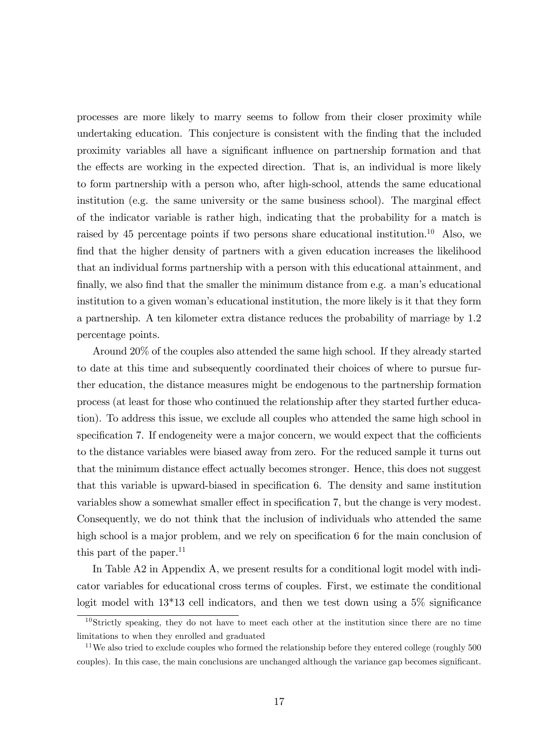processes are more likely to marry seems to follow from their closer proximity while undertaking education. This conjecture is consistent with the finding that the included proximity variables all have a significant influence on partnership formation and that the effects are working in the expected direction. That is, an individual is more likely to form partnership with a person who, after high-school, attends the same educational institution (e.g. the same university or the same business school). The marginal effect of the indicator variable is rather high, indicating that the probability for a match is raised by 45 percentage points if two persons share educational institution.<sup>10</sup> Also, we find that the higher density of partners with a given education increases the likelihood that an individual forms partnership with a person with this educational attainment, and finally, we also find that the smaller the minimum distance from e.g. a man's educational institution to a given woman's educational institution, the more likely is it that they form a partnership. A ten kilometer extra distance reduces the probability of marriage by 1.2 percentage points.

Around 20% of the couples also attended the same high school. If they already started to date at this time and subsequently coordinated their choices of where to pursue further education, the distance measures might be endogenous to the partnership formation process (at least for those who continued the relationship after they started further education). To address this issue, we exclude all couples who attended the same high school in specification 7. If endogeneity were a major concern, we would expect that the cofficients to the distance variables were biased away from zero. For the reduced sample it turns out that the minimum distance effect actually becomes stronger. Hence, this does not suggest that this variable is upward-biased in specification 6. The density and same institution variables show a somewhat smaller effect in specification 7, but the change is very modest. Consequently, we do not think that the inclusion of individuals who attended the same high school is a major problem, and we rely on specification 6 for the main conclusion of this part of the paper. $^{11}$ 

In Table A2 in Appendix A, we present results for a conditional logit model with indicator variables for educational cross terms of couples. First, we estimate the conditional logit model with  $13*13$  cell indicators, and then we test down using a  $5\%$  significance

<sup>10</sup>Strictly speaking, they do not have to meet each other at the institution since there are no time limitations to when they enrolled and graduated

 $11$ We also tried to exclude couples who formed the relationship before they entered college (roughly  $500$ ) couples). In this case, the main conclusions are unchanged although the variance gap becomes significant.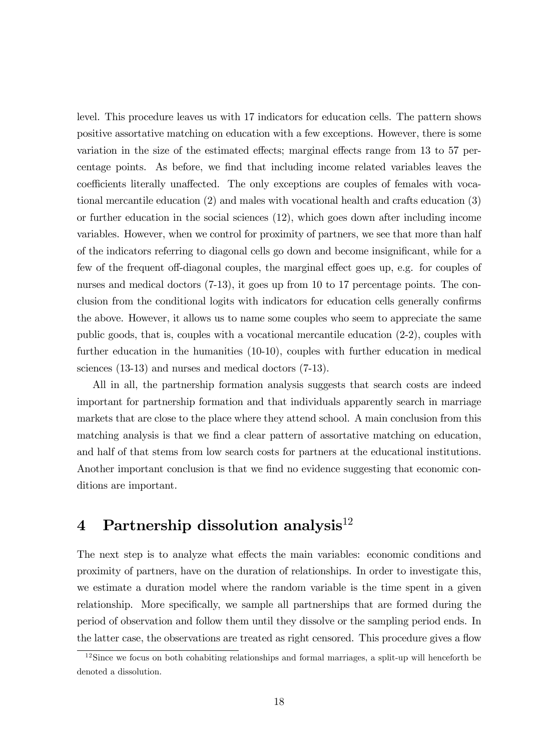level. This procedure leaves us with 17 indicators for education cells. The pattern shows positive assortative matching on education with a few exceptions. However, there is some variation in the size of the estimated effects; marginal effects range from 13 to 57 percentage points. As before, we find that including income related variables leaves the coefficients literally unaffected. The only exceptions are couples of females with vocational mercantile education (2) and males with vocational health and crafts education (3) or further education in the social sciences (12), which goes down after including income variables. However, when we control for proximity of partners, we see that more than half of the indicators referring to diagonal cells go down and become insignificant, while for a few of the frequent off-diagonal couples, the marginal effect goes up, e.g. for couples of nurses and medical doctors (7-13), it goes up from 10 to 17 percentage points. The conclusion from the conditional logits with indicators for education cells generally confirms the above. However, it allows us to name some couples who seem to appreciate the same public goods, that is, couples with a vocational mercantile education (2-2), couples with further education in the humanities (10-10), couples with further education in medical sciences (13-13) and nurses and medical doctors (7-13).

All in all, the partnership formation analysis suggests that search costs are indeed important for partnership formation and that individuals apparently search in marriage markets that are close to the place where they attend school. A main conclusion from this matching analysis is that we find a clear pattern of assortative matching on education, and half of that stems from low search costs for partners at the educational institutions. Another important conclusion is that we find no evidence suggesting that economic conditions are important.

## 4 Partnership dissolution analysis $12$

The next step is to analyze what effects the main variables: economic conditions and proximity of partners, have on the duration of relationships. In order to investigate this, we estimate a duration model where the random variable is the time spent in a given relationship. More specifically, we sample all partnerships that are formed during the period of observation and follow them until they dissolve or the sampling period ends. In the latter case, the observations are treated as right censored. This procedure gives a flow

 $12$ Since we focus on both cohabiting relationships and formal marriages, a split-up will henceforth be denoted a dissolution.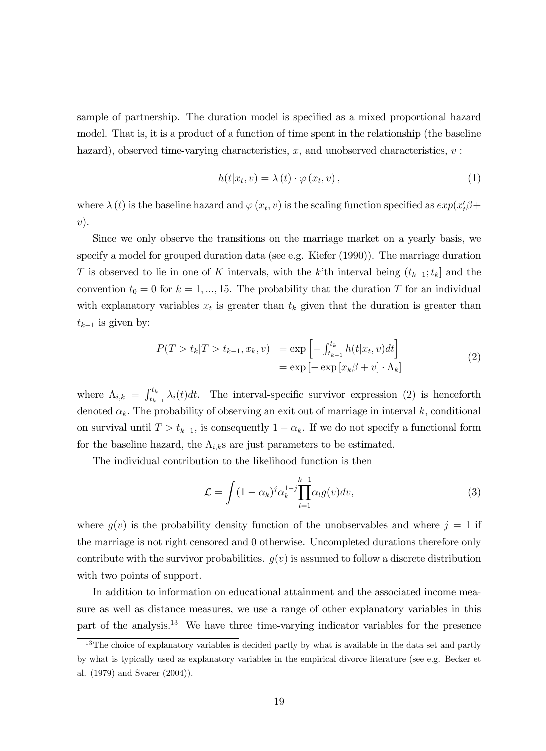sample of partnership. The duration model is specified as a mixed proportional hazard model. That is, it is a product of a function of time spent in the relationship (the baseline hazard), observed time-varying characteristics,  $x$ , and unobserved characteristics,  $v$ :

$$
h(t|x_t, v) = \lambda(t) \cdot \varphi(x_t, v), \qquad (1)
$$

where  $\lambda(t)$  is the baseline hazard and  $\varphi(x_t, v)$  is the scaling function specified as  $exp(x_t^{\prime}\beta + \theta)$ v).

Since we only observe the transitions on the marriage market on a yearly basis, we specify a model for grouped duration data (see e.g. Kiefer (1990)). The marriage duration T is observed to lie in one of K intervals, with the k'th interval being  $(t_{k-1};t_k]$  and the convention  $t_0 = 0$  for  $k = 1, ..., 15$ . The probability that the duration T for an individual with explanatory variables  $x_t$  is greater than  $t_k$  given that the duration is greater than  $t_{k-1}$  is given by:

$$
P(T > tk|T > tk-1, xk, v) = \exp\left[-\int_{t_{k-1}}^{t_k} h(t|x_t, v)dt\right]
$$

$$
= \exp\left[-\exp\left[x_k\beta + v\right] \cdot \Lambda_k\right]
$$
(2)

where  $\Lambda_{i,k} = \int_{t_k}^{t_k}$  $t_{t_{k-1}}^{\ldots} \lambda_i(t) dt$ . The interval-specific survivor expression (2) is henceforth denoted  $\alpha_k$ . The probability of observing an exit out of marriage in interval k, conditional on survival until  $T > t_{k-1}$ , is consequently  $1 - \alpha_k$ . If we do not specify a functional form for the baseline hazard, the  $\Lambda_{i,k}$ s are just parameters to be estimated.

The individual contribution to the likelihood function is then

$$
\mathcal{L} = \int (1 - \alpha_k)^j \alpha_k^{1-j} \prod_{l=1}^{k-1} \alpha_l g(v) dv,
$$
\n(3)

where  $g(v)$  is the probability density function of the unobservables and where  $j = 1$  if the marriage is not right censored and 0 otherwise. Uncompleted durations therefore only contribute with the survivor probabilities.  $g(v)$  is assumed to follow a discrete distribution with two points of support.

In addition to information on educational attainment and the associated income measure as well as distance measures, we use a range of other explanatory variables in this part of the analysis.<sup>13</sup> We have three time-varying indicator variables for the presence

 $13$ The choice of explanatory variables is decided partly by what is available in the data set and partly by what is typically used as explanatory variables in the empirical divorce literature (see e.g. Becker et al. (1979) and Svarer (2004)).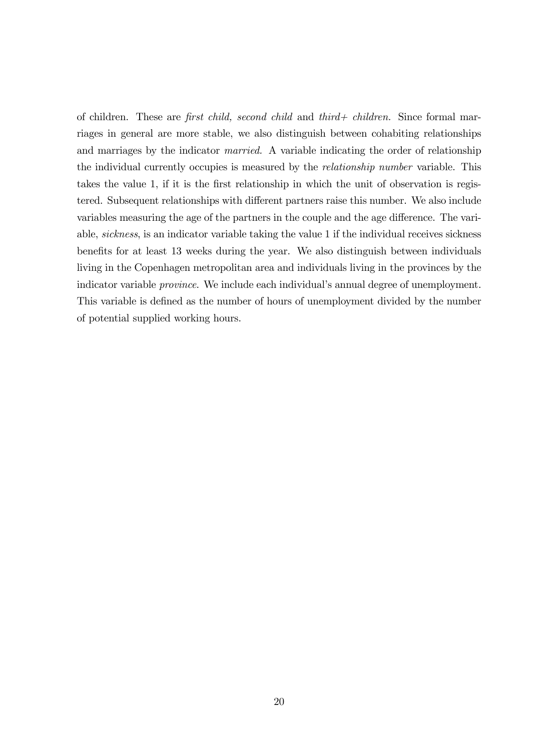of children. These are first child, second child and third  $+$  children. Since formal marriages in general are more stable, we also distinguish between cohabiting relationships and marriages by the indicator married. A variable indicating the order of relationship the individual currently occupies is measured by the relationship number variable. This takes the value 1, if it is the first relationship in which the unit of observation is registered. Subsequent relationships with different partners raise this number. We also include variables measuring the age of the partners in the couple and the age difference. The variable, sickness, is an indicator variable taking the value 1 if the individual receives sickness benefits for at least 13 weeks during the year. We also distinguish between individuals living in the Copenhagen metropolitan area and individuals living in the provinces by the indicator variable *province*. We include each individual's annual degree of unemployment. This variable is defined as the number of hours of unemployment divided by the number of potential supplied working hours.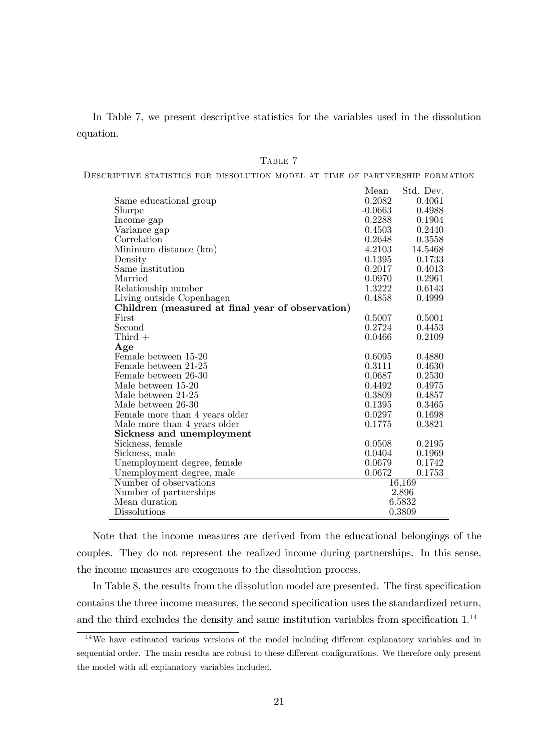In Table 7, we present descriptive statistics for the variables used in the dissolution equation.

|--|--|

| DESCRIPTIVE STATISTICS FOR DISSOLUTION MODEL AT TIME OF PARTNERSHIP FORMATION |
|-------------------------------------------------------------------------------|
|-------------------------------------------------------------------------------|

|                                                  | Mean      | Std. Dev. |
|--------------------------------------------------|-----------|-----------|
| Same educational group                           | 0.2082    | 0.4061    |
| Sharpe                                           | $-0.0663$ | 0.4988    |
| Income gap                                       | 0.2288    | 0.1904    |
| Variance gap                                     | 0.4503    | 0.2440    |
| Correlation                                      | 0.2648    | 0.3558    |
| Minimum distance (km)                            | 4.2103    | 14.5468   |
| Density                                          | 0.1395    | 0.1733    |
| Same institution                                 | 0.2017    | 0.4013    |
| Married                                          | 0.0970    | 0.2961    |
| Relationship number                              | 1.3222    | 0.6143    |
| Living outside Copenhagen                        | 0.4858    | 0.4999    |
| Children (measured at final year of observation) |           |           |
| First                                            | 0.5007    | 0.5001    |
| Second                                           | 0.2724    | 0.4453    |
| $Third +$                                        | 0.0466    | 0.2109    |
| Age                                              |           |           |
| Female between 15-20                             | 0.6095    | 0.4880    |
| Female between 21-25                             | 0.3111    | 0.4630    |
| Female between 26-30                             | 0.0687    | 0.2530    |
| Male between 15-20                               | 0.4492    | 0.4975    |
| Male between 21-25                               | 0.3809    | 0.4857    |
| Male between 26-30                               | 0.1395    | 0.3465    |
| Female more than 4 years older                   | 0.0297    | 0.1698    |
| Male more than 4 years older                     | 0.1775    | 0.3821    |
| Sickness and unemployment                        |           |           |
| Sickness, female                                 | 0.0508    | 0.2195    |
| Sickness, male                                   | 0.0404    | 0.1969    |
| Unemployment degree, female                      | 0.0679    | 0.1742    |
| Unemployment degree, male                        | 0.0672    | 0.1753    |
| Number of observations                           |           | 16,169    |
| Number of partnerships                           |           | 2,896     |
| Mean duration                                    |           | 6.5832    |
| Dissolutions                                     |           | 0.3809    |

Note that the income measures are derived from the educational belongings of the couples. They do not represent the realized income during partnerships. In this sense, the income measures are exogenous to the dissolution process.

In Table 8, the results from the dissolution model are presented. The first specification contains the three income measures, the second specification uses the standardized return, and the third excludes the density and same institution variables from specification  $1.^{14}$ 

 $14$ We have estimated various versions of the model including different explanatory variables and in sequential order. The main results are robust to these different configurations. We therefore only present the model with all explanatory variables included.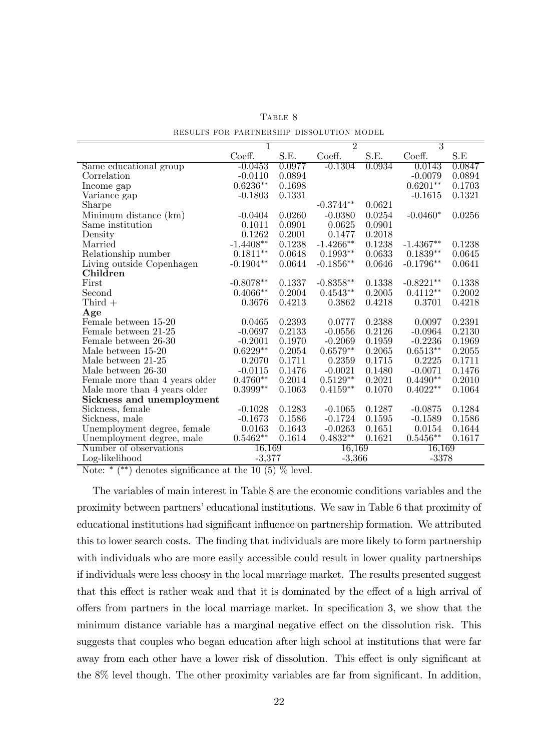|                                |             |        | $\overline{2}$ |        | $\overline{3}$ |                      |
|--------------------------------|-------------|--------|----------------|--------|----------------|----------------------|
|                                | Coeff.      | S.E.   | Coeff.         | S.E.   | Coeff.         | $\operatorname{S.E}$ |
| Same educational group         | $-0.0453$   | 0.0977 | $-0.1304$      | 0.0934 | 0.0143         | 0.0847               |
| Correlation                    | $-0.0110$   | 0.0894 |                |        | $-0.0079$      | 0.0894               |
| Income gap                     | $0.6236**$  | 0.1698 |                |        | $0.6201**$     | 0.1703               |
| Variance gap                   | $-0.1803$   | 0.1331 |                |        | $-0.1615$      | 0.1321               |
| Sharpe                         |             |        | $-0.3744**$    | 0.0621 |                |                      |
| Minimum distance (km)          | $-0.0404$   | 0.0260 | $-0.0380$      | 0.0254 | $-0.0460*$     | 0.0256               |
| Same institution               | 0.1011      | 0.0901 | 0.0625         | 0.0901 |                |                      |
| Density                        | 0.1262      | 0.2001 | 0.1477         | 0.2018 |                |                      |
| Married                        | $-1.4408**$ | 0.1238 | $-1.4266**$    | 0.1238 | $-1.4367**$    | 0.1238               |
| Relationship number            | $0.1811**$  | 0.0648 | $0.1993**$     | 0.0633 | $0.1839**$     | 0.0645               |
| Living outside Copenhagen      | $-0.1904**$ | 0.0644 | $-0.1856**$    | 0.0646 | $-0.1796**$    | 0.0641               |
| Children                       |             |        |                |        |                |                      |
| First                          | $-0.8078**$ | 0.1337 | $-0.8358**$    | 0.1338 | $-0.8221**$    | 0.1338               |
| Second                         | $0.4066**$  | 0.2004 | $0.4543**$     | 0.2005 | $0.4112**$     | 0.2002               |
| $Third +$                      | 0.3676      | 0.4213 | 0.3862         | 0.4218 | 0.3701         | 0.4218               |
| Age                            |             |        |                |        |                |                      |
| Female between 15-20           | 0.0465      | 0.2393 | 0.0777         | 0.2388 | 0.0097         | 0.2391               |
| Female between 21-25           | $-0.0697$   | 0.2133 | $-0.0556$      | 0.2126 | $-0.0964$      | 0.2130               |
| Female between 26-30           | $-0.2001$   | 0.1970 | $-0.2069$      | 0.1959 | $-0.2236$      | 0.1969               |
| Male between 15-20             | $0.6229**$  | 0.2054 | $0.6579**$     | 0.2065 | $0.6513**$     | 0.2055               |
| Male between 21-25             | 0.2070      | 0.1711 | 0.2359         | 0.1715 | 0.2225         | 0.1711               |
| Male between 26-30             | $-0.0115$   | 0.1476 | $-0.0021$      | 0.1480 | $-0.0071$      | 0.1476               |
| Female more than 4 years older | $0.4760**$  | 0.2014 | $0.5129**$     | 0.2021 | $0.4490**$     | 0.2010               |
| Male more than 4 years older   | $0.3999**$  | 0.1063 | $0.4159**$     | 0.1070 | $0.4022**$     | 0.1064               |
| Sickness and unemployment      |             |        |                |        |                |                      |
| Sickness, female               | $-0.1028$   | 0.1283 | $-0.1065$      | 0.1287 | $-0.0875$      | 0.1284               |
| Sickness, male                 | $-0.1673$   | 0.1586 | $-0.1724$      | 0.1595 | $-0.1589$      | 0.1586               |
| Unemployment degree, female    | 0.0163      | 0.1643 | $-0.0263$      | 0.1651 | 0.0154         | 0.1644               |
| Unemployment degree, male      | $0.5462**$  | 0.1614 | $0.4832**$     | 0.1621 | $0.5456**$     | 0.1617               |
| Number of observations         | 16,169      |        | 16,169         |        | 16,169         |                      |
| Log-likelihood                 | $-3,377$    |        | $-3,366$       |        | $-3378$        |                      |

TABLE 8 results for partnership dissolution model

Note:  $(**)$  denotes significance at the 10 (5) % level.

The variables of main interest in Table 8 are the economic conditions variables and the proximity between partners' educational institutions. We saw in Table 6 that proximity of educational institutions had significant influence on partnership formation. We attributed this to lower search costs. The finding that individuals are more likely to form partnership with individuals who are more easily accessible could result in lower quality partnerships if individuals were less choosy in the local marriage market. The results presented suggest that this effect is rather weak and that it is dominated by the effect of a high arrival of offers from partners in the local marriage market. In specification 3, we show that the minimum distance variable has a marginal negative effect on the dissolution risk. This suggests that couples who began education after high school at institutions that were far away from each other have a lower risk of dissolution. This effect is only significant at the  $8\%$  level though. The other proximity variables are far from significant. In addition,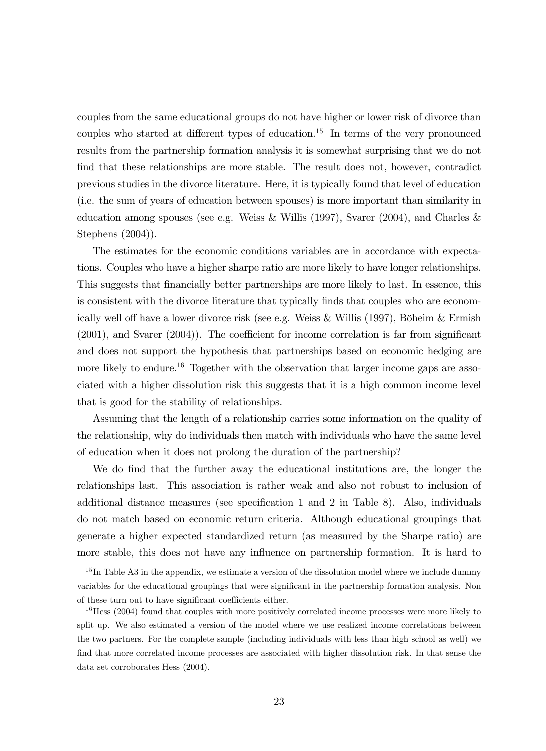couples from the same educational groups do not have higher or lower risk of divorce than couples who started at different types of education.<sup>15</sup> In terms of the very pronounced results from the partnership formation analysis it is somewhat surprising that we do not find that these relationships are more stable. The result does not, however, contradict previous studies in the divorce literature. Here, it is typically found that level of education (i.e. the sum of years of education between spouses) is more important than similarity in education among spouses (see e.g. Weiss & Willis (1997), Svarer (2004), and Charles & Stephens (2004)).

The estimates for the economic conditions variables are in accordance with expectations. Couples who have a higher sharpe ratio are more likely to have longer relationships. This suggests that financially better partnerships are more likely to last. In essence, this is consistent with the divorce literature that typically finds that couples who are economically well off have a lower divorce risk (see e.g. Weiss & Willis (1997), Böheim & Ermish  $(2001)$ , and Svarer  $(2004)$ . The coefficient for income correlation is far from significant and does not support the hypothesis that partnerships based on economic hedging are more likely to endure.<sup>16</sup> Together with the observation that larger income gaps are associated with a higher dissolution risk this suggests that it is a high common income level that is good for the stability of relationships.

Assuming that the length of a relationship carries some information on the quality of the relationship, why do individuals then match with individuals who have the same level of education when it does not prolong the duration of the partnership?

We do find that the further away the educational institutions are, the longer the relationships last. This association is rather weak and also not robust to inclusion of additional distance measures (see specification  $1$  and  $2$  in Table 8). Also, individuals do not match based on economic return criteria. Although educational groupings that generate a higher expected standardized return (as measured by the Sharpe ratio) are more stable, this does not have any influence on partnership formation. It is hard to

 $15$  In Table A3 in the appendix, we estimate a version of the dissolution model where we include dummy variables for the educational groupings that were significant in the partnership formation analysis. Non of these turn out to have significant coefficients either.

 $16$  Hess (2004) found that couples with more positively correlated income processes were more likely to split up. We also estimated a version of the model where we use realized income correlations between the two partners. For the complete sample (including individuals with less than high school as well) we find that more correlated income processes are associated with higher dissolution risk. In that sense the data set corroborates Hess (2004).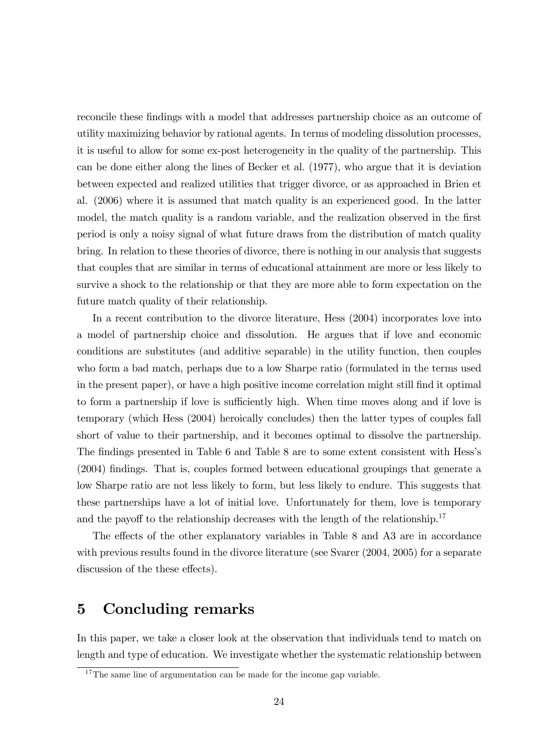reconcile these findings with a model that addresses partnership choice as an outcome of utility maximizing behavior by rational agents. In terms of modeling dissolution processes, it is useful to allow for some ex-post heterogeneity in the quality of the partnership. This can be done either along the lines of Becker et al. (1977), who argue that it is deviation between expected and realized utilities that trigger divorce, or as approached in Brien et al. (2006) where it is assumed that match quality is an experienced good. In the latter model, the match quality is a random variable, and the realization observed in the first period is only a noisy signal of what future draws from the distribution of match quality bring. In relation to these theories of divorce, there is nothing in our analysis that suggests that couples that are similar in terms of educational attainment are more or less likely to survive a shock to the relationship or that they are more able to form expectation on the future match quality of their relationship.

In a recent contribution to the divorce literature, Hess (2004) incorporates love into a model of partnership choice and dissolution. He argues that if love and economic conditions are substitutes (and additive separable) in the utility function, then couples who form a bad match, perhaps due to a low Sharpe ratio (formulated in the terms used in the present paper), or have a high positive income correlation might still find it optimal to form a partnership if love is sufficiently high. When time moves along and if love is temporary (which Hess (2004) heroically concludes) then the latter types of couples fall short of value to their partnership, and it becomes optimal to dissolve the partnership. The findings presented in Table 6 and Table 8 are to some extent consistent with Hess's (2004) Öndings. That is, couples formed between educational groupings that generate a low Sharpe ratio are not less likely to form, but less likely to endure. This suggests that these partnerships have a lot of initial love. Unfortunately for them, love is temporary and the payoff to the relationship decreases with the length of the relationship.<sup>17</sup>

The effects of the other explanatory variables in Table 8 and A3 are in accordance with previous results found in the divorce literature (see Svarer (2004, 2005) for a separate discussion of the these effects).

## 5 Concluding remarks

In this paper, we take a closer look at the observation that individuals tend to match on length and type of education. We investigate whether the systematic relationship between

<sup>&</sup>lt;sup>17</sup>The same line of argumentation can be made for the income gap variable.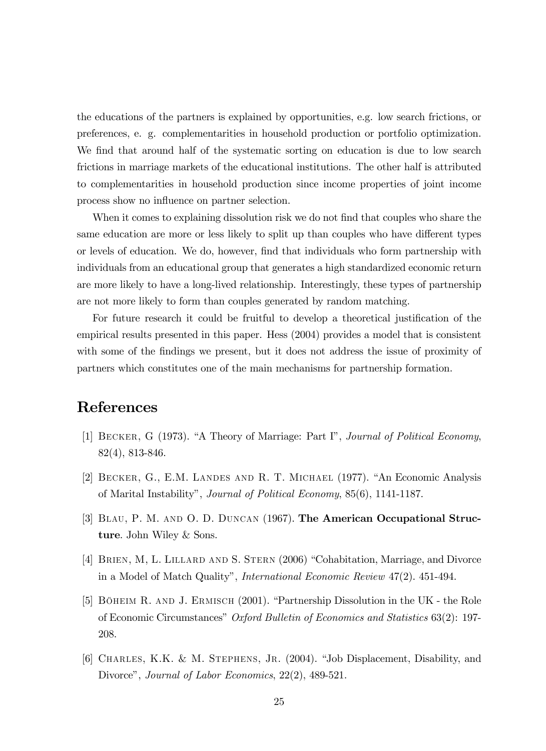the educations of the partners is explained by opportunities, e.g. low search frictions, or preferences, e. g. complementarities in household production or portfolio optimization. We find that around half of the systematic sorting on education is due to low search frictions in marriage markets of the educational institutions. The other half is attributed to complementarities in household production since income properties of joint income process show no influence on partner selection.

When it comes to explaining dissolution risk we do not find that couples who share the same education are more or less likely to split up than couples who have different types or levels of education. We do, however, Önd that individuals who form partnership with individuals from an educational group that generates a high standardized economic return are more likely to have a long-lived relationship. Interestingly, these types of partnership are not more likely to form than couples generated by random matching.

For future research it could be fruitful to develop a theoretical justification of the empirical results presented in this paper. Hess (2004) provides a model that is consistent with some of the findings we present, but it does not address the issue of proximity of partners which constitutes one of the main mechanisms for partnership formation.

## References

- [1] BECKER, G (1973). "A Theory of Marriage: Part I", Journal of Political Economy, 82(4), 813-846.
- [2] BECKER, G., E.M. LANDES AND R. T. MICHAEL (1977). "An Economic Analysis of Marital Instabilityî, Journal of Political Economy, 85(6), 1141-1187.
- [3] Blau, P. M. and O. D. Duncan (1967). The American Occupational Structure. John Wiley & Sons.
- [4] BRIEN, M, L. LILLARD AND S. STERN (2006) "Cohabitation, Marriage, and Divorce in a Model of Match Quality", International Economic Review 47(2). 451-494.
- [5] BÖHEIM R. AND J. ERMISCH (2001). "Partnership Dissolution in the UK the Role of Economic Circumstances" Oxford Bulletin of Economics and Statistics 63(2): 197-208.
- [6] CHARLES, K.K. & M. STEPHENS, JR.  $(2004)$ . "Job Displacement, Disability, and Divorce", *Journal of Labor Economics*, 22(2), 489-521.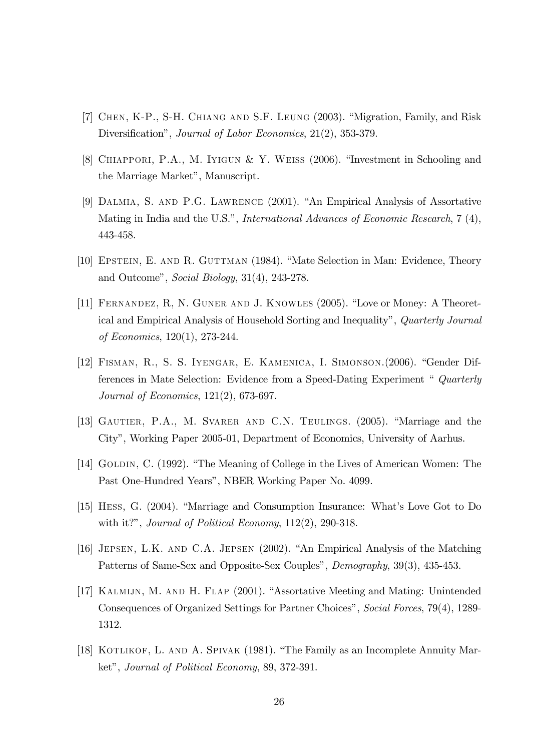- [7] CHEN, K-P., S-H. CHIANG AND S.F. LEUNG (2003). "Migration, Family, and Risk Diversification", Journal of Labor Economics, 21(2), 353-379.
- [8] CHIAPPORI, P.A., M. IYIGUN & Y. WEISS  $(2006)$ . "Investment in Schooling and the Marriage Market", Manuscript.
- [9] DALMIA, S. AND P.G. LAWRENCE (2001). "An Empirical Analysis of Assortative Mating in India and the U.S.", *International Advances of Economic Research*, 7 (4), 443-458.
- [10] EPSTEIN, E. AND R. GUTTMAN (1984). "Mate Selection in Man: Evidence, Theory and Outcome", Social Biology, 31(4), 243-278.
- [11] FERNANDEZ, R, N. GUNER AND J. KNOWLES  $(2005)$ . "Love or Money: A Theoretical and Empirical Analysis of Household Sorting and Inequality", Quarterly Journal of Economics, 120(1), 273-244.
- [12] FISMAN, R., S. S. IYENGAR, E. KAMENICA, I. SIMONSON. (2006). "Gender Differences in Mate Selection: Evidence from a Speed-Dating Experiment " Quarterly Journal of Economics, 121(2), 673-697.
- [13] GAUTIER, P.A., M. SVARER AND C.N. TEULINGS.  $(2005)$ . "Marriage and the Cityî, Working Paper 2005-01, Department of Economics, University of Aarhus.
- [14] GOLDIN, C. (1992). "The Meaning of College in the Lives of American Women: The Past One-Hundred Years", NBER Working Paper No. 4099.
- [15] HESS, G. (2004). "Marriage and Consumption Insurance: What's Love Got to Do with it?", *Journal of Political Economy*,  $112(2)$ ,  $290-318$ .
- [16] JEPSEN, L.K. AND C.A. JEPSEN  $(2002)$ . "An Empirical Analysis of the Matching Patterns of Same-Sex and Opposite-Sex Couples", *Demography*, 39(3), 435-453.
- [17] KALMIJN, M. AND H. FLAP (2001). "Assortative Meeting and Mating: Unintended Consequences of Organized Settings for Partner Choices<sup>3</sup>, Social Forces, 79(4), 1289-1312.
- [18] KOTLIKOF, L. AND A. SPIVAK (1981). "The Family as an Incomplete Annuity Market", Journal of Political Economy, 89, 372-391.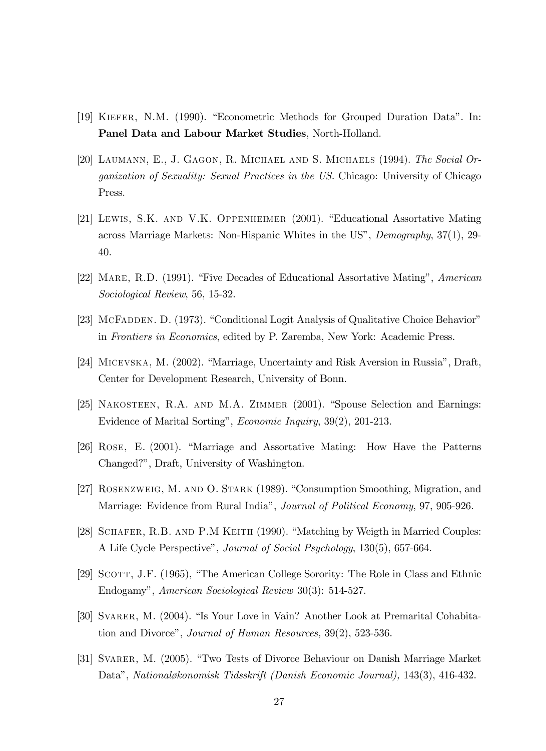- [19] KIEFER, N.M. (1990). "Econometric Methods for Grouped Duration Data". In: Panel Data and Labour Market Studies, North-Holland.
- [20] Laumann, E., J. Gagon, R. Michael and S. Michaels (1994). The Social Organization of Sexuality: Sexual Practices in the US. Chicago: University of Chicago Press.
- [21] LEWIS, S.K. AND V.K. OPPENHEIMER (2001). "Educational Assortative Mating across Marriage Markets: Non-Hispanic Whites in the US", Demography, 37(1), 29-40.
- [22] MARE, R.D. (1991). "Five Decades of Educational Assortative Mating", American Sociological Review, 56, 15-32.
- [23] McFadden. D. (1973). "Conditional Logit Analysis of Qualitative Choice Behavior" in Frontiers in Economics, edited by P. Zaremba, New York: Academic Press.
- $[24]$  MICEVSKA, M. (2002). "Marriage, Uncertainty and Risk Aversion in Russia", Draft, Center for Development Research, University of Bonn.
- [25] NAKOSTEEN, R.A. AND M.A. ZIMMER (2001). "Spouse Selection and Earnings: Evidence of Marital Sorting", *Economic Inquiry*, 39(2), 201-213.
- [26] ROSE, E. (2001). "Marriage and Assortative Mating: How Have the Patterns Changed?î, Draft, University of Washington.
- [27] ROSENZWEIG, M. AND O. STARK (1989). "Consumption Smoothing, Migration, and Marriage: Evidence from Rural India<sup>n</sup>, *Journal of Political Economy*, 97, 905-926.
- [28] SCHAFER, R.B. AND P.M KEITH (1990). "Matching by Weigth in Married Couples: A Life Cycle Perspective", Journal of Social Psychology, 130(5), 657-664.
- [29] SCOTT, J.F. (1965), "The American College Sorority: The Role in Class and Ethnic Endogamy", American Sociological Review 30(3): 514-527.
- [30] SVARER, M. (2004). "Is Your Love in Vain? Another Look at Premarital Cohabitation and Divorce", *Journal of Human Resources*,  $39(2)$ ,  $523-536$ .
- [31] SVARER, M. (2005). "Two Tests of Divorce Behaviour on Danish Marriage Market Data", Nationaløkonomisk Tidsskrift (Danish Economic Journal), 143(3), 416-432.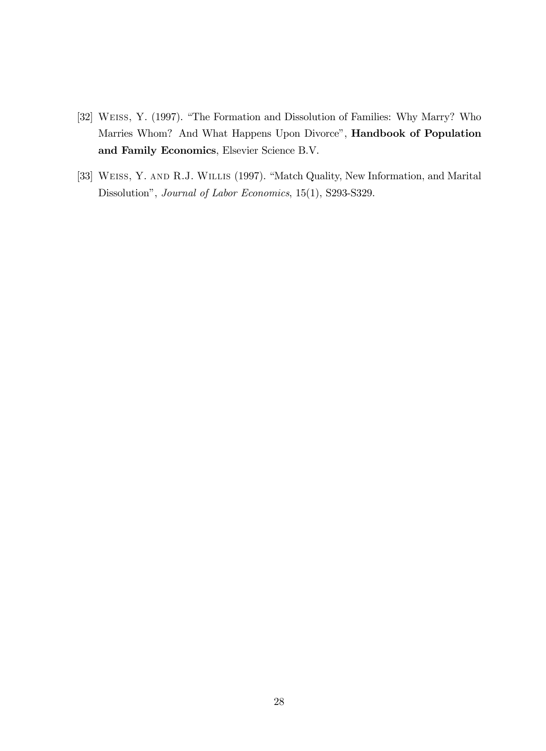- [32] WEISS, Y. (1997). "The Formation and Dissolution of Families: Why Marry? Who Marries Whom? And What Happens Upon Divorce", Handbook of Population and Family Economics, Elsevier Science B.V.
- [33] WEISS, Y. AND R.J. WILLIS (1997). "Match Quality, New Information, and Marital Dissolution", *Journal of Labor Economics*, 15(1), S293-S329.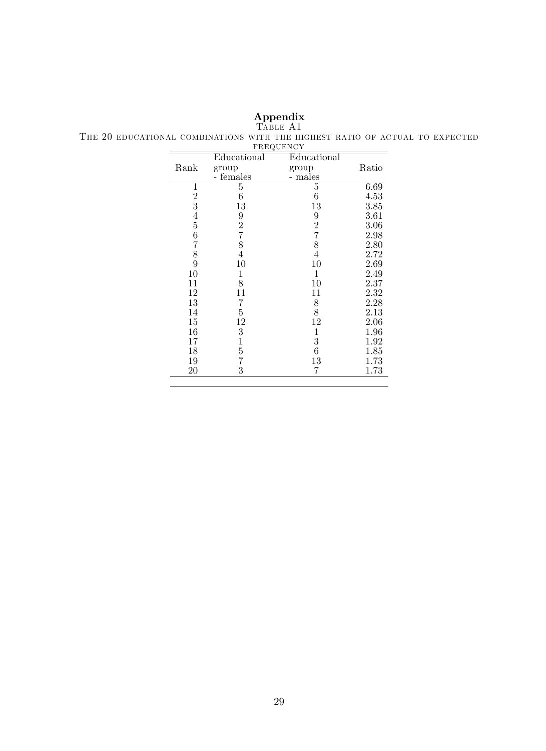#### Appendix

Table A1 The 20 educational combinations with the highest ratio of actual to expected

| FREQUENCY                                    |                             |                |       |  |  |
|----------------------------------------------|-----------------------------|----------------|-------|--|--|
|                                              | Educational                 | Educational    |       |  |  |
| Rank                                         | group                       | group          | Ratio |  |  |
|                                              | - females                   | - males        |       |  |  |
| 1                                            | 5                           | 5              | 6.69  |  |  |
|                                              | $\boldsymbol{6}$            | 6              | 4.53  |  |  |
| $\begin{array}{c} 2 \ 3 \ 4 \ 5 \end{array}$ | 13                          | 13             | 3.85  |  |  |
|                                              |                             |                | 3.61  |  |  |
|                                              | $\frac{9}{2}$ $\frac{7}{8}$ | $\frac{9}{2}$  | 3.06  |  |  |
|                                              |                             |                | 2.98  |  |  |
| 6789                                         |                             | 8              | 2.80  |  |  |
|                                              | $\overline{4}$              | $\overline{4}$ | 2.72  |  |  |
|                                              | 10                          | 10             | 2.69  |  |  |
| 10                                           | $\mathbf{1}$                | $\mathbf{1}$   | 2.49  |  |  |
| 11                                           | 8                           | 10             | 2.37  |  |  |
| 12                                           | 11                          | 11             | 2.32  |  |  |
| 13                                           | 7                           | 8              | 2.28  |  |  |
| 14                                           | $\bf 5$                     | 8              | 2.13  |  |  |
| 15                                           | 12                          | 12             | 2.06  |  |  |
| 16                                           | 3                           | $\mathbf{1}$   | 1.96  |  |  |
| 17                                           | $\mathbf{1}$                | 3              | 1.92  |  |  |
| 18                                           |                             | 6              | 1.85  |  |  |
| 19                                           | $\frac{5}{7}$               | 13             | 1.73  |  |  |
| 20                                           | 3                           | 7              | 1.73  |  |  |
|                                              |                             |                |       |  |  |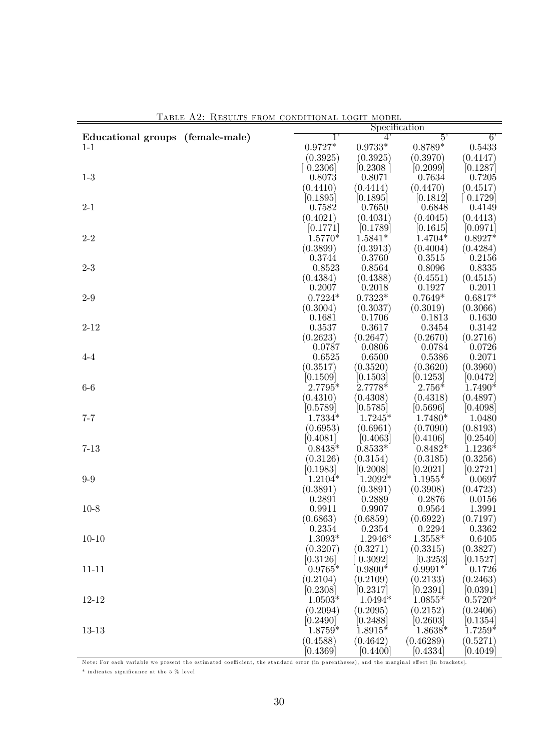| TABLE AZ: RESULTS FROM CONDITIONAL LOGIT MODEL |                |                        |               |             |
|------------------------------------------------|----------------|------------------------|---------------|-------------|
|                                                |                |                        | Specification |             |
| Educational groups (female-male)               | $\overline{1}$ | $4^{\circ}$            | 5'            | $6^{\circ}$ |
| $1 - 1$                                        | $0.9727*$      | $0.9733^{\ast}$        | $0.8789*$     | 0.5433      |
|                                                | (0.3925)       | (0.3925)               | (0.3970)      | (0.4147)    |
|                                                | [0.2306]       | [0.2308]               | [0.2099]      | [0.1287]    |
| $1-3$                                          | 0.8073         | 0.8071                 | 0.7634        | 0.7205      |
|                                                | (0.4410)       | (0.4414)               | (0.4470)      | (0.4517)    |
|                                                | [0.1895]       | [0.1895]               | 0.1812        | 0.1729      |
| $2 - 1$                                        | 0.7582         | 0.7650                 | 0.6848        | 0.4149      |
|                                                | (0.4021)       | (0.4031)               | (0.4045)      | (0.4413)    |
|                                                | [0.1771]       | [0.1789]               | [0.1615]      | [0.0971]    |
| $2 - 2$                                        | $1.5770*$      | $1.5841*$              | 1.4704*       | $0.8927*$   |
|                                                | (0.3899)       | (0.3913)               | (0.4004)      | (0.4284)    |
|                                                | 0.3744         | 0.3760                 | 0.3515        | 0.2156      |
| $2 - 3$                                        | 0.8523         | 0.8564                 | 0.8096        | 0.8335      |
|                                                | (0.4384)       | (0.4388)               | (0.4551)      | (0.4515)    |
|                                                | 0.2007         | 0.2018                 | 0.1927        | 0.2011      |
| $2\hbox{-} 9$                                  | $0.7224*$      | $0.7323*$              | $0.7649*$     | $0.6817*$   |
|                                                | (0.3004)       | (0.3037)               | (0.3019)      | (0.3066)    |
|                                                | 0.1681         | 0.1706                 | 0.1813        | 0.1630      |
| $2 - 12$                                       | 0.3537         | 0.3617                 | 0.3454        | 0.3142      |
|                                                | (0.2623)       | (0.2647)               | (0.2670)      | (0.2716)    |
|                                                | 0.0787         | 0.0806                 | 0.0784        | 0.0726      |
| $4 - 4$                                        | 0.6525         | 0.6500                 | 0.5386        | 0.2071      |
|                                                | (0.3517)       | (0.3520)               | (0.3620)      | (0.3960)    |
|                                                | [0.1509]       | [0.1503]               | [0.1253]      | [0.0472]    |
| $6-6$                                          | 2.7795*        | $2.7778*$              | $2.756*$      | 1.7490*     |
|                                                | (0.4310)       | (0.4308)               | (0.4318)      | (0.4897)    |
|                                                | [0.5789]       | $\left[ 0.5785\right]$ | [0.5696]      | [0.4098]    |
| $7 - 7$                                        | $1.7334*$      | $1.7245*$              | 1.7480*       | 1.0480      |
|                                                | (0.6953)       | (0.6961)               | (0.7090)      | (0.8193)    |
|                                                | [0.4081]       | [0.4063]               | [0.4106]      | [0.2540]    |
| $7 - 13$                                       | $0.8438*$      | $0.8533*$              | $0.8482*$     | $1.1236*$   |
|                                                | (0.3126)       | (0.3154)               | (0.3185)      | (0.3256)    |
|                                                | [0.1983]       | [0.2008]               | [0.2021]      | [0.2721]    |
| $9-9$                                          | 1.2104*        | $1.2092*$              | $1.1955*$     | 0.0697      |
|                                                | (0.3891)       | (0.3891)               | (0.3908)      | (0.4723)    |
|                                                | 0.2891         | 0.2889                 | 0.2876        | 0.0156      |
| $10 - 8$                                       | 0.9911         | 0.9907                 | 0.9564        | 1.3991      |
|                                                | (0.6863)       | (0.6859)               | (0.6922)      | (0.7197)    |
|                                                | 0.2354         | 0.2354                 | 0.2294        | 0.3362      |
| $10 - 10$                                      | $1.3093*$      | 1.2946*                | $1.3558*$     | 0.6405      |
|                                                | (0.3207)       | (0.3271)               | (0.3315)      | (0.3827)    |
|                                                | [0.3126]       | $\left[0.3092\right]$  | [0.3253]      | [0.1527]    |
| $11 - 11$                                      | $0.9765*$      | $0.9800*$              | $0.9991*$     | 0.1726      |
|                                                | (0.2104)       | (0.2109)               | (0.2133)      | (0.2463)    |
|                                                | [0.2308]       | [0.2317]               | [0.2391]      | [0.0391]    |
| 12-12                                          | $1.0503*$      | $1.0494*$              | $1.0855*$     | $0.5720*$   |
|                                                | (0.2094)       | (0.2095)               | (0.2152)      | (0.2406)    |
|                                                | [0.2490]       | [0.2488]               | [0.2603]      | [0.1354]    |
| 13-13                                          | 1.8759*        | $1.8915*$              | $1.8638*$     | $1.7259*$   |
|                                                | (0.4588)       | (0.4642)               | (0.46289)     | (0.5271)    |
|                                                | [0.4369]       | [0.4400]               | [0.4334]      | [0.4049]    |
|                                                |                |                        |               |             |

Table A2: Results from conditional logit model

Note: For each variable we present the estimated coefficient, the standard error (in parentheses), and the marginal effect [in brackets].

 $^*$  indicates significance at the 5  $\%$  level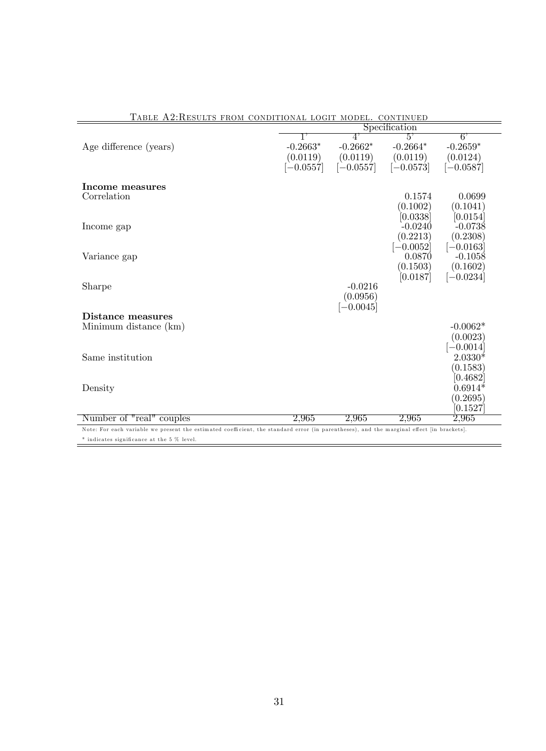|                                |                                       | Specification                        |                                                          |                                            |  |  |
|--------------------------------|---------------------------------------|--------------------------------------|----------------------------------------------------------|--------------------------------------------|--|--|
| Age difference (years)         | $-0.2663*$<br>(0.0119)<br>$[-0.0557]$ | 4'<br>$-0.2662*$<br>$[-0.0557]$      | 5'<br>$-0.2664*$<br>$(0.0119)$ $(0.0119)$<br>$[-0.0573]$ | 6<br>$-0.2659*$<br>(0.0124)<br>$[-0.0587]$ |  |  |
| Income measures<br>Correlation |                                       |                                      | 0.1574<br>(0.1002)                                       | 0.0699<br>(0.1041)                         |  |  |
| Income gap                     |                                       |                                      | [0.0338]<br>$-0.0240$<br>(0.2213)                        | [0.0154]<br>$-0.0738$<br>(0.2308)          |  |  |
| Variance gap                   |                                       |                                      | $[-0.0052]$<br>0.0870<br>(0.1503)                        | $[-0.0163]$<br>$-0.1058$<br>(0.1602)       |  |  |
| Sharpe                         |                                       | $-0.0216$<br>(0.0956)<br>$[-0.0045]$ | [0.0187]                                                 | $[-0.0234]$                                |  |  |
| Distance measures              |                                       |                                      |                                                          |                                            |  |  |
| Minimum distance (km)          |                                       |                                      |                                                          | $-0.0062*$<br>(0.0023)<br>$-0.0014$        |  |  |
| Same institution               |                                       |                                      |                                                          | $2.0330*$<br>(0.1583)<br>[0.4682]          |  |  |
| Density                        |                                       |                                      |                                                          | $0.6914*$<br>(0.2695)<br>[0.1527]          |  |  |
| Number of "real" couples       | 2,965                                 | 2,965                                | 2,965                                                    | 2,965                                      |  |  |

 $\overline{\phantom{0}}$ 

Table A2:Results from conditional logit model. continued

31